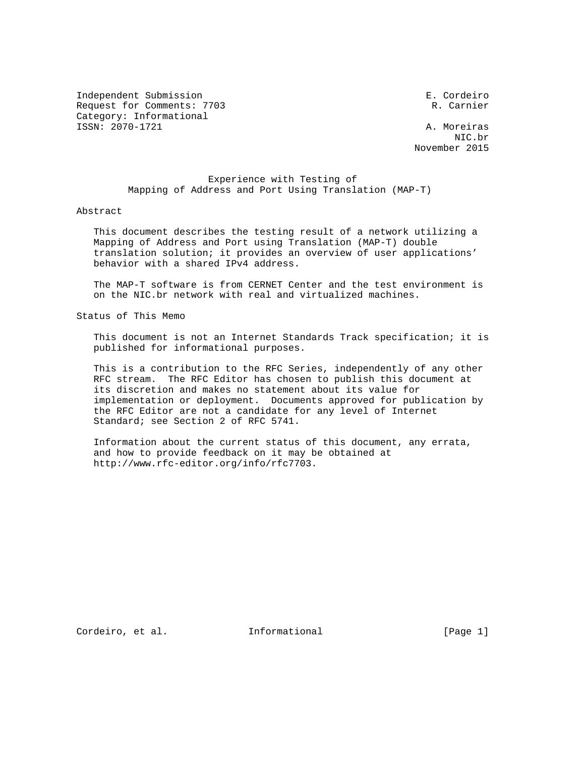Independent Submission E. Cordeiro Request for Comments: 7703 R. Carnier Category: Informational ISSN: 2070-1721 A. Moreiras

 NIC.br November 2015

### Experience with Testing of Mapping of Address and Port Using Translation (MAP-T)

#### Abstract

 This document describes the testing result of a network utilizing a Mapping of Address and Port using Translation (MAP-T) double translation solution; it provides an overview of user applications' behavior with a shared IPv4 address.

 The MAP-T software is from CERNET Center and the test environment is on the NIC.br network with real and virtualized machines.

Status of This Memo

 This document is not an Internet Standards Track specification; it is published for informational purposes.

 This is a contribution to the RFC Series, independently of any other RFC stream. The RFC Editor has chosen to publish this document at its discretion and makes no statement about its value for implementation or deployment. Documents approved for publication by the RFC Editor are not a candidate for any level of Internet Standard; see Section 2 of RFC 5741.

 Information about the current status of this document, any errata, and how to provide feedback on it may be obtained at http://www.rfc-editor.org/info/rfc7703.

Cordeiro, et al. 1nformational [Page 1]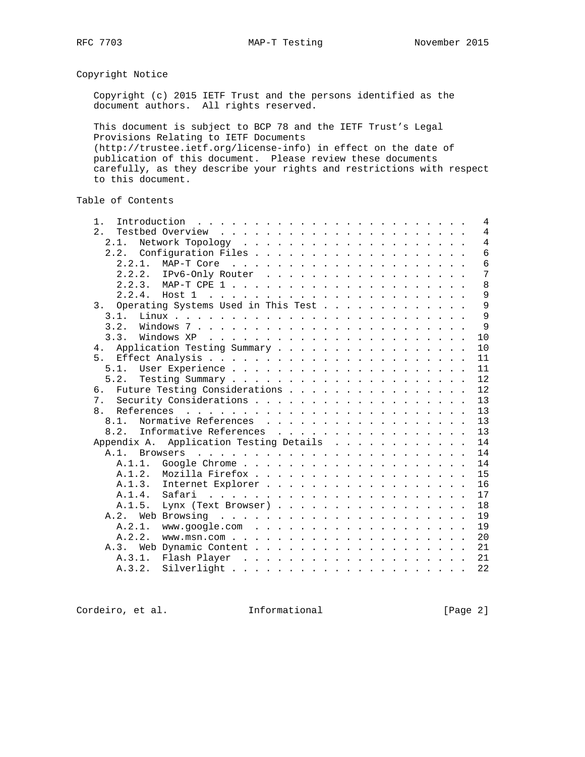Copyright Notice

 Copyright (c) 2015 IETF Trust and the persons identified as the document authors. All rights reserved.

 This document is subject to BCP 78 and the IETF Trust's Legal Provisions Relating to IETF Documents (http://trustee.ietf.org/license-info) in effect on the date of publication of this document. Please review these documents carefully, as they describe your rights and restrictions with respect to this document.

Table of Contents

| 2.<br>2.1.<br>2.2.2. IPv6-Only Router<br>2.2.4.<br>Host 1<br>3. Operating Systems Used in This Test<br>3.1.<br>3.2.<br>3.3.<br>Application Testing Summary<br>4.<br>Future Testing Considerations<br>б.<br>$7$ .<br>$\mathsf{R}$<br>Normative References<br>8.1.<br>8.2. Informative References<br>Application Testing Details<br>Appendix A.<br>15<br>A.1.3. Internet Explorer<br>A.1.4.<br>Safari<br>the contract of the contract of the contract of the contract of the contract of the contract of the contract of the contract of the contract of the contract of the contract of the contract of the contract of the contract o<br>18<br>A.1.5.<br>19<br>A.2.1.<br>19<br>20<br>A.2.2.<br>21<br>A.3.<br>21<br>A.3.1. | Introduction $\ldots \ldots \ldots \ldots \ldots \ldots \ldots \ldots$<br>$1$ . |  |  |  |  |  |  | $\overline{4}$ |
|---------------------------------------------------------------------------------------------------------------------------------------------------------------------------------------------------------------------------------------------------------------------------------------------------------------------------------------------------------------------------------------------------------------------------------------------------------------------------------------------------------------------------------------------------------------------------------------------------------------------------------------------------------------------------------------------------------------------------|---------------------------------------------------------------------------------|--|--|--|--|--|--|----------------|
|                                                                                                                                                                                                                                                                                                                                                                                                                                                                                                                                                                                                                                                                                                                           |                                                                                 |  |  |  |  |  |  | $\overline{4}$ |
|                                                                                                                                                                                                                                                                                                                                                                                                                                                                                                                                                                                                                                                                                                                           |                                                                                 |  |  |  |  |  |  | $\overline{4}$ |
|                                                                                                                                                                                                                                                                                                                                                                                                                                                                                                                                                                                                                                                                                                                           |                                                                                 |  |  |  |  |  |  | $\overline{6}$ |
|                                                                                                                                                                                                                                                                                                                                                                                                                                                                                                                                                                                                                                                                                                                           |                                                                                 |  |  |  |  |  |  | 6              |
|                                                                                                                                                                                                                                                                                                                                                                                                                                                                                                                                                                                                                                                                                                                           |                                                                                 |  |  |  |  |  |  | 7              |
|                                                                                                                                                                                                                                                                                                                                                                                                                                                                                                                                                                                                                                                                                                                           |                                                                                 |  |  |  |  |  |  | 8              |
|                                                                                                                                                                                                                                                                                                                                                                                                                                                                                                                                                                                                                                                                                                                           |                                                                                 |  |  |  |  |  |  | 9              |
|                                                                                                                                                                                                                                                                                                                                                                                                                                                                                                                                                                                                                                                                                                                           |                                                                                 |  |  |  |  |  |  | 9              |
|                                                                                                                                                                                                                                                                                                                                                                                                                                                                                                                                                                                                                                                                                                                           |                                                                                 |  |  |  |  |  |  | 9              |
|                                                                                                                                                                                                                                                                                                                                                                                                                                                                                                                                                                                                                                                                                                                           |                                                                                 |  |  |  |  |  |  | 9              |
|                                                                                                                                                                                                                                                                                                                                                                                                                                                                                                                                                                                                                                                                                                                           |                                                                                 |  |  |  |  |  |  | 10             |
|                                                                                                                                                                                                                                                                                                                                                                                                                                                                                                                                                                                                                                                                                                                           |                                                                                 |  |  |  |  |  |  | 10             |
|                                                                                                                                                                                                                                                                                                                                                                                                                                                                                                                                                                                                                                                                                                                           |                                                                                 |  |  |  |  |  |  | 11             |
|                                                                                                                                                                                                                                                                                                                                                                                                                                                                                                                                                                                                                                                                                                                           |                                                                                 |  |  |  |  |  |  | 11             |
|                                                                                                                                                                                                                                                                                                                                                                                                                                                                                                                                                                                                                                                                                                                           |                                                                                 |  |  |  |  |  |  | 12             |
|                                                                                                                                                                                                                                                                                                                                                                                                                                                                                                                                                                                                                                                                                                                           |                                                                                 |  |  |  |  |  |  | 12             |
|                                                                                                                                                                                                                                                                                                                                                                                                                                                                                                                                                                                                                                                                                                                           |                                                                                 |  |  |  |  |  |  | 13             |
|                                                                                                                                                                                                                                                                                                                                                                                                                                                                                                                                                                                                                                                                                                                           |                                                                                 |  |  |  |  |  |  | 13             |
|                                                                                                                                                                                                                                                                                                                                                                                                                                                                                                                                                                                                                                                                                                                           |                                                                                 |  |  |  |  |  |  | 13             |
|                                                                                                                                                                                                                                                                                                                                                                                                                                                                                                                                                                                                                                                                                                                           |                                                                                 |  |  |  |  |  |  | 13             |
|                                                                                                                                                                                                                                                                                                                                                                                                                                                                                                                                                                                                                                                                                                                           |                                                                                 |  |  |  |  |  |  | 14             |
|                                                                                                                                                                                                                                                                                                                                                                                                                                                                                                                                                                                                                                                                                                                           |                                                                                 |  |  |  |  |  |  | 14             |
|                                                                                                                                                                                                                                                                                                                                                                                                                                                                                                                                                                                                                                                                                                                           |                                                                                 |  |  |  |  |  |  | 14             |
|                                                                                                                                                                                                                                                                                                                                                                                                                                                                                                                                                                                                                                                                                                                           |                                                                                 |  |  |  |  |  |  |                |
|                                                                                                                                                                                                                                                                                                                                                                                                                                                                                                                                                                                                                                                                                                                           |                                                                                 |  |  |  |  |  |  | 16             |
|                                                                                                                                                                                                                                                                                                                                                                                                                                                                                                                                                                                                                                                                                                                           |                                                                                 |  |  |  |  |  |  | 17             |
|                                                                                                                                                                                                                                                                                                                                                                                                                                                                                                                                                                                                                                                                                                                           |                                                                                 |  |  |  |  |  |  |                |
|                                                                                                                                                                                                                                                                                                                                                                                                                                                                                                                                                                                                                                                                                                                           |                                                                                 |  |  |  |  |  |  |                |
|                                                                                                                                                                                                                                                                                                                                                                                                                                                                                                                                                                                                                                                                                                                           |                                                                                 |  |  |  |  |  |  |                |
|                                                                                                                                                                                                                                                                                                                                                                                                                                                                                                                                                                                                                                                                                                                           |                                                                                 |  |  |  |  |  |  |                |
|                                                                                                                                                                                                                                                                                                                                                                                                                                                                                                                                                                                                                                                                                                                           |                                                                                 |  |  |  |  |  |  |                |
|                                                                                                                                                                                                                                                                                                                                                                                                                                                                                                                                                                                                                                                                                                                           |                                                                                 |  |  |  |  |  |  |                |
| A.3.2.                                                                                                                                                                                                                                                                                                                                                                                                                                                                                                                                                                                                                                                                                                                    |                                                                                 |  |  |  |  |  |  | 22             |

Cordeiro, et al. 1nformational [Page 2]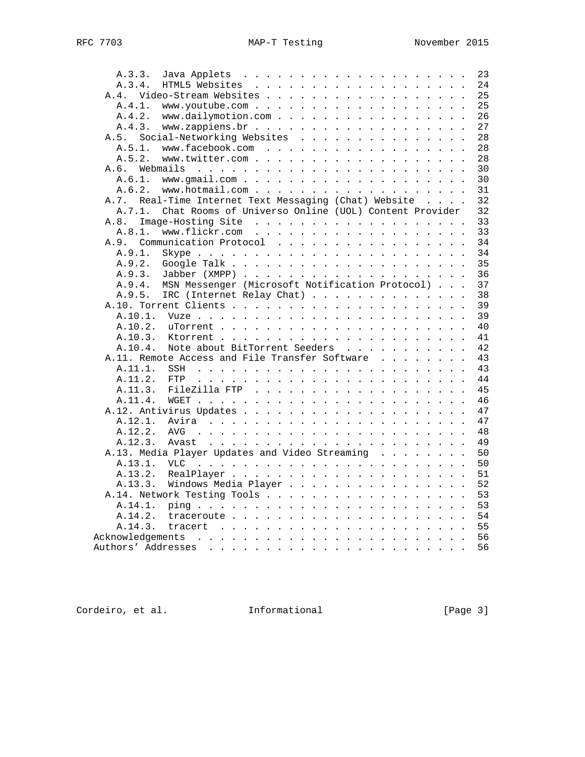| A.3.3.                                                                                                                                                                                                                                                  | 23 |
|---------------------------------------------------------------------------------------------------------------------------------------------------------------------------------------------------------------------------------------------------------|----|
| A.3.4.                                                                                                                                                                                                                                                  | 24 |
| Video-Stream Websites<br>A.4.                                                                                                                                                                                                                           | 25 |
| A.4.1.<br>www.youtube.com                                                                                                                                                                                                                               | 25 |
| www.dailymotion.com<br>A.4.2.                                                                                                                                                                                                                           | 26 |
| A.4.3.                                                                                                                                                                                                                                                  | 27 |
| Social-Networking Websites<br>A.5.                                                                                                                                                                                                                      | 28 |
| A.5.1.<br>www.facebook.com                                                                                                                                                                                                                              | 28 |
| A.5.2.                                                                                                                                                                                                                                                  | 28 |
| Webmails<br>A.6.                                                                                                                                                                                                                                        | 30 |
| A.6.1.                                                                                                                                                                                                                                                  | 30 |
| A.6.2.                                                                                                                                                                                                                                                  | 31 |
| Real-Time Internet Text Messaging (Chat) Website<br>A.7.                                                                                                                                                                                                | 32 |
| Chat Rooms of Universo Online (UOL) Content Provider<br>A.7.1.                                                                                                                                                                                          | 32 |
| A.8.                                                                                                                                                                                                                                                    | 33 |
| A.8.1.                                                                                                                                                                                                                                                  | 33 |
| Communication Protocol<br>A.9.                                                                                                                                                                                                                          | 34 |
|                                                                                                                                                                                                                                                         | 34 |
| A.9.1.                                                                                                                                                                                                                                                  |    |
| A.9.2.                                                                                                                                                                                                                                                  | 35 |
| A.9.3.                                                                                                                                                                                                                                                  | 36 |
| MSN Messenger (Microsoft Notification Protocol)<br>A.9.4.                                                                                                                                                                                               | 37 |
| A.9.5.<br>IRC (Internet Relay Chat)                                                                                                                                                                                                                     | 38 |
|                                                                                                                                                                                                                                                         | 39 |
| A.10.1.                                                                                                                                                                                                                                                 | 39 |
| A.10.2.                                                                                                                                                                                                                                                 | 40 |
| A.10.3.                                                                                                                                                                                                                                                 | 41 |
| A.10.4.<br>Note about BitTorrent Seeders                                                                                                                                                                                                                | 42 |
| A.11. Remote Access and File Transfer Software                                                                                                                                                                                                          | 43 |
| A.11.1.<br>SSH                                                                                                                                                                                                                                          | 43 |
| A.11.2.<br>FTP                                                                                                                                                                                                                                          | 44 |
| A.11.3.                                                                                                                                                                                                                                                 | 45 |
| A.11.4.                                                                                                                                                                                                                                                 | 46 |
|                                                                                                                                                                                                                                                         | 47 |
| A.12.1.                                                                                                                                                                                                                                                 | 47 |
| A.12.2.<br>AVG<br>and the contract of the contract of the contract of the contract of the contract of the contract of the contract of the contract of the contract of the contract of the contract of the contract of the contract of the contra        | 48 |
| A.12.3.                                                                                                                                                                                                                                                 | 49 |
| A.13. Media Player Updates and Video Streaming                                                                                                                                                                                                          | 50 |
| A.13.1.<br><b>VLC</b><br>the contract of the contract of the contract of the contract of the contract of the contract of the contract of the contract of the contract of the contract of the contract of the contract of the contract of the contract o | 50 |
| A.13.2.                                                                                                                                                                                                                                                 | 51 |
| A.13.3.<br>Windows Media Player                                                                                                                                                                                                                         | 52 |
|                                                                                                                                                                                                                                                         | 53 |
| A.14.1.                                                                                                                                                                                                                                                 | 53 |
| A.14.2.                                                                                                                                                                                                                                                 | 54 |
| A.14.3.                                                                                                                                                                                                                                                 | 55 |
| Acknowledgements                                                                                                                                                                                                                                        | 56 |
| Authors' Addresses                                                                                                                                                                                                                                      | 56 |
| المتناول والمناول والمناول والمناول والمناول والمناول والمناول والمناول                                                                                                                                                                                 |    |

Cordeiro, et al. 1nformational [Page 3]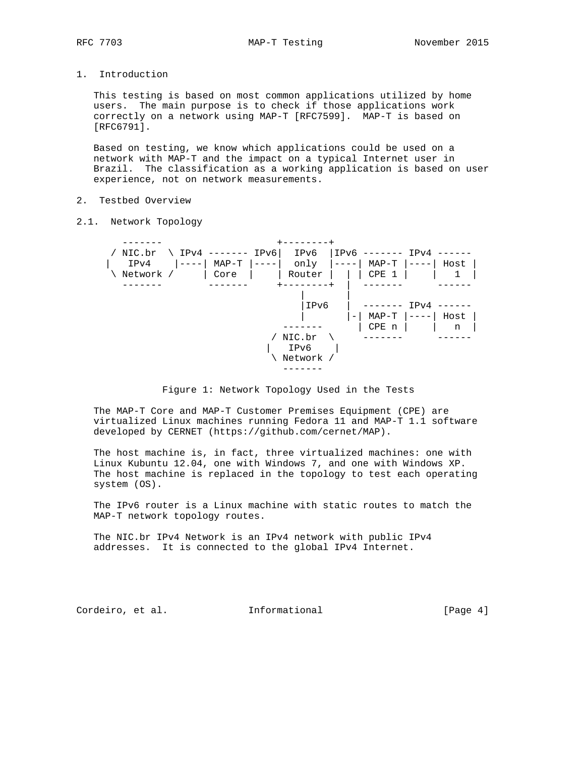1. Introduction

 This testing is based on most common applications utilized by home users. The main purpose is to check if those applications work correctly on a network using MAP-T [RFC7599]. MAP-T is based on [RFC6791].

 Based on testing, we know which applications could be used on a network with MAP-T and the impact on a typical Internet user in Brazil. The classification as a working application is based on user experience, not on network measurements.

- 2. Testbed Overview
- 2.1. Network Topology





 The MAP-T Core and MAP-T Customer Premises Equipment (CPE) are virtualized Linux machines running Fedora 11 and MAP-T 1.1 software developed by CERNET (https://github.com/cernet/MAP).

 The host machine is, in fact, three virtualized machines: one with Linux Kubuntu 12.04, one with Windows 7, and one with Windows XP. The host machine is replaced in the topology to test each operating system (OS).

 The IPv6 router is a Linux machine with static routes to match the MAP-T network topology routes.

 The NIC.br IPv4 Network is an IPv4 network with public IPv4 addresses. It is connected to the global IPv4 Internet.

Cordeiro, et al. 1nformational (Page 4)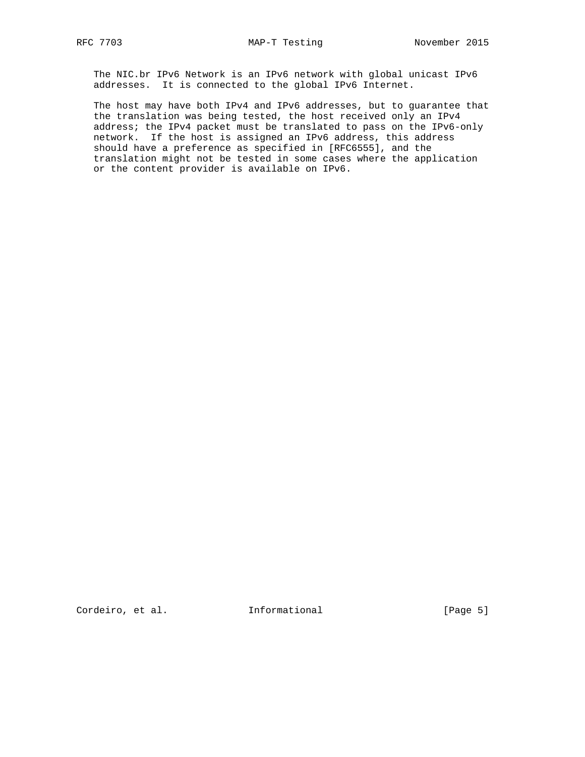The NIC.br IPv6 Network is an IPv6 network with global unicast IPv6 addresses. It is connected to the global IPv6 Internet.

 The host may have both IPv4 and IPv6 addresses, but to guarantee that the translation was being tested, the host received only an IPv4 address; the IPv4 packet must be translated to pass on the IPv6-only network. If the host is assigned an IPv6 address, this address should have a preference as specified in [RFC6555], and the translation might not be tested in some cases where the application or the content provider is available on IPv6.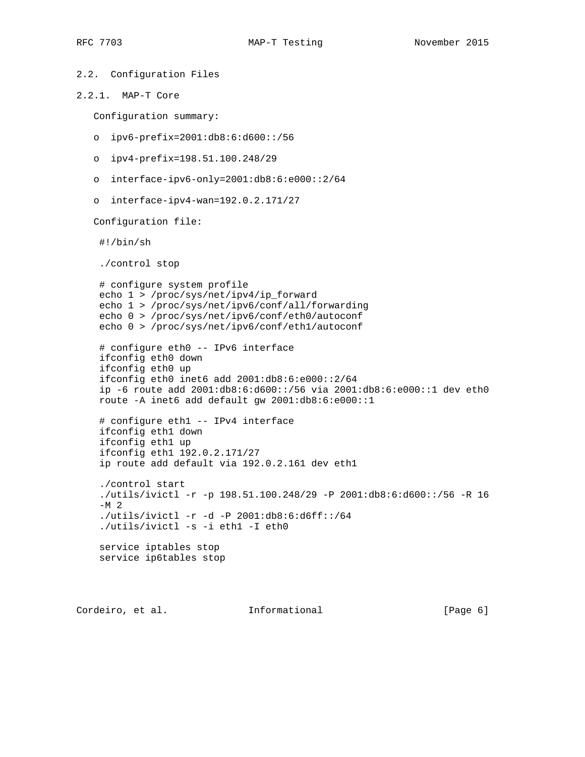```
2.2. Configuration Files
2.2.1. MAP-T Core
   Configuration summary:
    o ipv6-prefix=2001:db8:6:d600::/56
   o ipv4-prefix=198.51.100.248/29
   o interface-ipv6-only=2001:db8:6:e000::2/64
    o interface-ipv4-wan=192.0.2.171/27
   Configuration file:
     #!/bin/sh
     ./control stop
     # configure system profile
     echo 1 > /proc/sys/net/ipv4/ip_forward
     echo 1 > /proc/sys/net/ipv6/conf/all/forwarding
     echo 0 > /proc/sys/net/ipv6/conf/eth0/autoconf
     echo 0 > /proc/sys/net/ipv6/conf/eth1/autoconf
     # configure eth0 -- IPv6 interface
     ifconfig eth0 down
     ifconfig eth0 up
     ifconfig eth0 inet6 add 2001:db8:6:e000::2/64
     ip -6 route add 2001:db8:6:d600::/56 via 2001:db8:6:e000::1 dev eth0
    route -A inet6 add default gw 2001:db8:6:e000::1
     # configure eth1 -- IPv4 interface
     ifconfig eth1 down
     ifconfig eth1 up
     ifconfig eth1 192.0.2.171/27
     ip route add default via 192.0.2.161 dev eth1
     ./control start
     ./utils/ivictl -r -p 198.51.100.248/29 -P 2001:db8:6:d600::/56 -R 16
    -M<sub>2</sub> ./utils/ivictl -r -d -P 2001:db8:6:d6ff::/64
     ./utils/ivictl -s -i eth1 -I eth0
     service iptables stop
     service ip6tables stop
```
Cordeiro, et al. Informational [Page 6]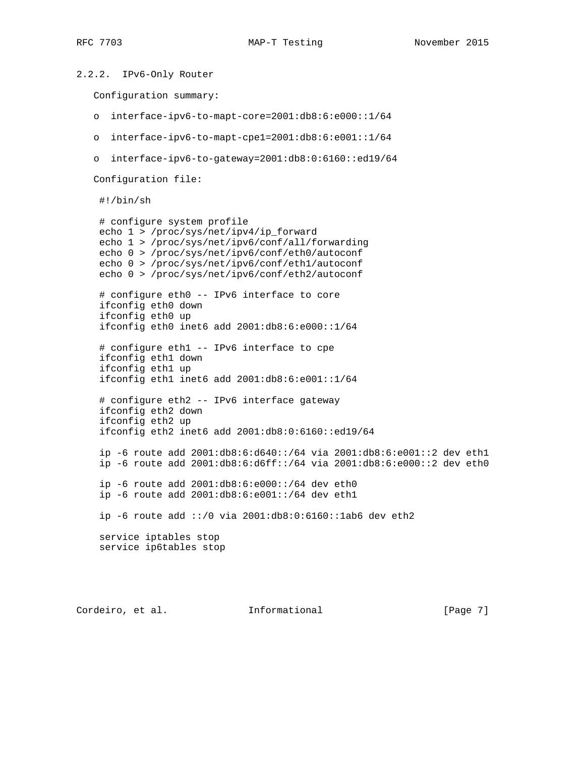```
2.2.2. IPv6-Only Router
   Configuration summary:
   o interface-ipv6-to-mapt-core=2001:db8:6:e000::1/64
   o interface-ipv6-to-mapt-cpe1=2001:db8:6:e001::1/64
   o interface-ipv6-to-gateway=2001:db8:0:6160::ed19/64
   Configuration file:
     #!/bin/sh
     # configure system profile
     echo 1 > /proc/sys/net/ipv4/ip_forward
     echo 1 > /proc/sys/net/ipv6/conf/all/forwarding
     echo 0 > /proc/sys/net/ipv6/conf/eth0/autoconf
     echo 0 > /proc/sys/net/ipv6/conf/eth1/autoconf
     echo 0 > /proc/sys/net/ipv6/conf/eth2/autoconf
     # configure eth0 -- IPv6 interface to core
     ifconfig eth0 down
     ifconfig eth0 up
     ifconfig eth0 inet6 add 2001:db8:6:e000::1/64
     # configure eth1 -- IPv6 interface to cpe
     ifconfig eth1 down
     ifconfig eth1 up
     ifconfig eth1 inet6 add 2001:db8:6:e001::1/64
     # configure eth2 -- IPv6 interface gateway
     ifconfig eth2 down
     ifconfig eth2 up
     ifconfig eth2 inet6 add 2001:db8:0:6160::ed19/64
     ip -6 route add 2001:db8:6:d640::/64 via 2001:db8:6:e001::2 dev eth1
     ip -6 route add 2001:db8:6:d6ff::/64 via 2001:db8:6:e000::2 dev eth0
     ip -6 route add 2001:db8:6:e000::/64 dev eth0
     ip -6 route add 2001:db8:6:e001::/64 dev eth1
     ip -6 route add ::/0 via 2001:db8:0:6160::1ab6 dev eth2
     service iptables stop
     service ip6tables stop
```
Cordeiro, et al. 1nformational [Page 7]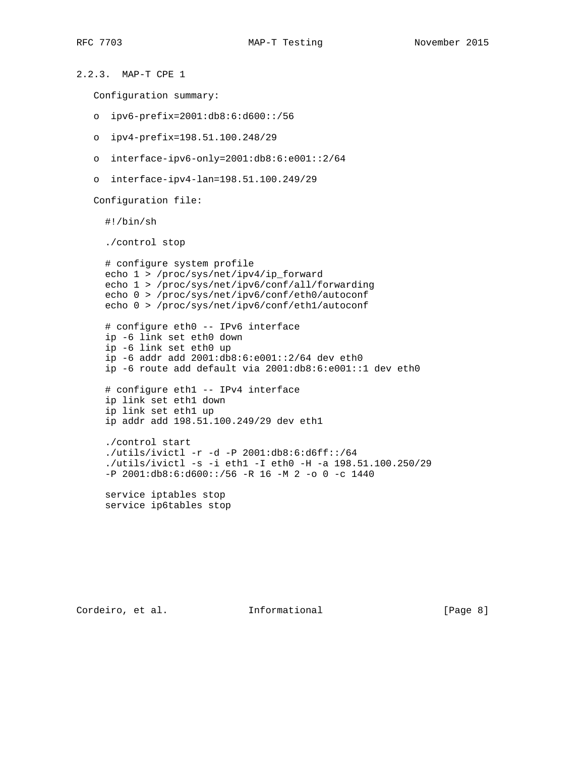```
2.2.3. MAP-T CPE 1
   Configuration summary:
   o ipv6-prefix=2001:db8:6:d600::/56
   o ipv4-prefix=198.51.100.248/29
   o interface-ipv6-only=2001:db8:6:e001::2/64
   o interface-ipv4-lan=198.51.100.249/29
   Configuration file:
      #!/bin/sh
      ./control stop
      # configure system profile
      echo 1 > /proc/sys/net/ipv4/ip_forward
      echo 1 > /proc/sys/net/ipv6/conf/all/forwarding
      echo 0 > /proc/sys/net/ipv6/conf/eth0/autoconf
      echo 0 > /proc/sys/net/ipv6/conf/eth1/autoconf
      # configure eth0 -- IPv6 interface
      ip -6 link set eth0 down
      ip -6 link set eth0 up
      ip -6 addr add 2001:db8:6:e001::2/64 dev eth0
      ip -6 route add default via 2001:db8:6:e001::1 dev eth0
      # configure eth1 -- IPv4 interface
      ip link set eth1 down
      ip link set eth1 up
      ip addr add 198.51.100.249/29 dev eth1
      ./control start
      ./utils/ivictl -r -d -P 2001:db8:6:d6ff::/64
      ./utils/ivictl -s -i eth1 -I eth0 -H -a 198.51.100.250/29
      -P 2001:db8:6:d600::/56 -R 16 -M 2 -o 0 -c 1440
      service iptables stop
      service ip6tables stop
```
Cordeiro, et al. 1nformational [Page 8]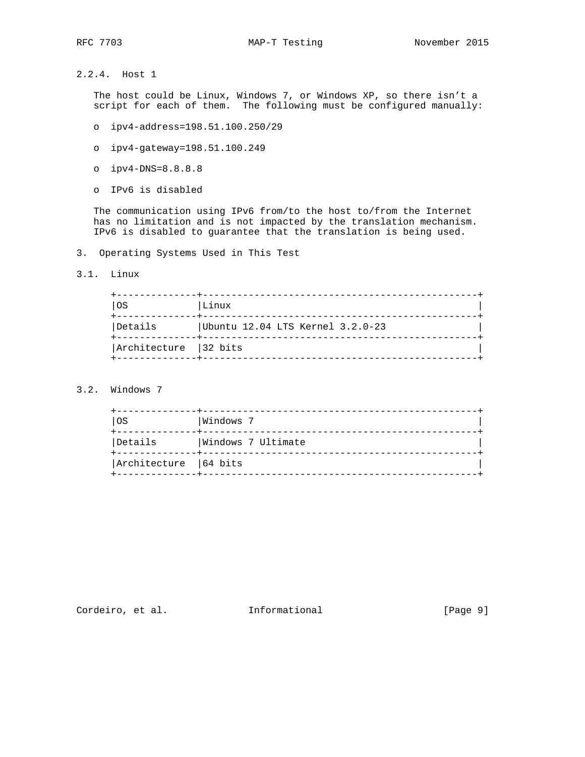2.2.4. Host 1

 The host could be Linux, Windows 7, or Windows XP, so there isn't a script for each of them. The following must be configured manually:

- o ipv4-address=198.51.100.250/29
- o ipv4-gateway=198.51.100.249
- o ipv4-DNS=8.8.8.8
- o IPv6 is disabled

 The communication using IPv6 from/to the host to/from the Internet has no limitation and is not impacted by the translation mechanism. IPv6 is disabled to guarantee that the translation is being used.

- 3. Operating Systems Used in This Test
- 3.1. Linux

| <b>OS</b>              | Linux                            |
|------------------------|----------------------------------|
| Details                | Ubuntu 12.04 LTS Kernel 3.2.0-23 |
| Architecture   32 bits |                                  |

### 3.2. Windows 7

| OS                     | Windows 7          |  |
|------------------------|--------------------|--|
| Details                | Windows 7 Ultimate |  |
| Architecture   64 bits |                    |  |

# Cordeiro, et al. 1nformational (Page 9)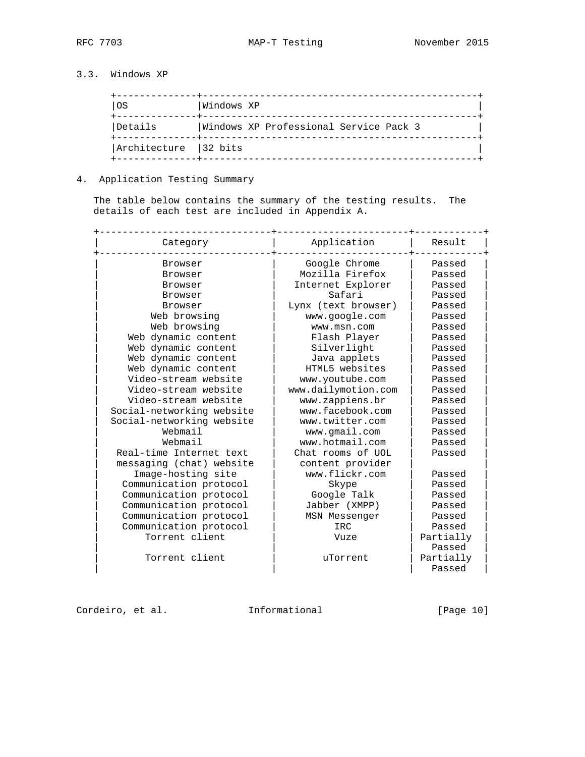## 3.3. Windows XP

| <b>OS</b>             | Windows XP                             |
|-----------------------|----------------------------------------|
| Details               | Windows XP Professional Service Pack 3 |
| Architecture 132 bits |                                        |

### 4. Application Testing Summary

 The table below contains the summary of the testing results. The details of each test are included in Appendix A.

| Category                  | Application         | Result    |
|---------------------------|---------------------|-----------|
| Browser                   | Google Chrome       | Passed    |
| Browser                   | Mozilla Firefox     | Passed    |
| Browser                   | Internet Explorer   | Passed    |
| Browser                   | Safari              | Passed    |
| Browser                   | Lynx (text browser) | Passed    |
| Web browsing              | www.google.com      | Passed    |
| Web browsing              | www.msn.com         | Passed    |
| Web dynamic content       | Flash Player        | Passed    |
| Web dynamic content       | Silverlight         | Passed    |
| Web dynamic content       | Java applets        | Passed    |
| Web dynamic content       | HTML5 websites      | Passed    |
| Video-stream website      | www.youtube.com     | Passed    |
| Video-stream website      | www.dailymotion.com | Passed    |
| Video-stream website      | www.zappiens.br     | Passed    |
| Social-networking website | www.facebook.com    | Passed    |
| Social-networking website | www.twitter.com     | Passed    |
| Webmail                   | www.gmail.com       | Passed    |
| Webmail                   | www.hotmail.com     | Passed    |
| Real-time Internet text   | Chat rooms of UOL   | Passed    |
| messaging (chat) website  | content provider    |           |
| Image-hosting site        | www.flickr.com      | Passed    |
| Communication protocol    | Skype               | Passed    |
| Communication protocol    | Google Talk         | Passed    |
| Communication protocol    | Jabber (XMPP)       | Passed    |
| Communication protocol    | MSN Messenger       | Passed    |
| Communication protocol    | IRC.                | Passed    |
| Torrent client            | Vuze                | Partially |
|                           |                     | Passed    |
| Torrent client            | uTorrent            | Partially |
|                           |                     | Passed    |

Cordeiro, et al. 1nformational [Page 10]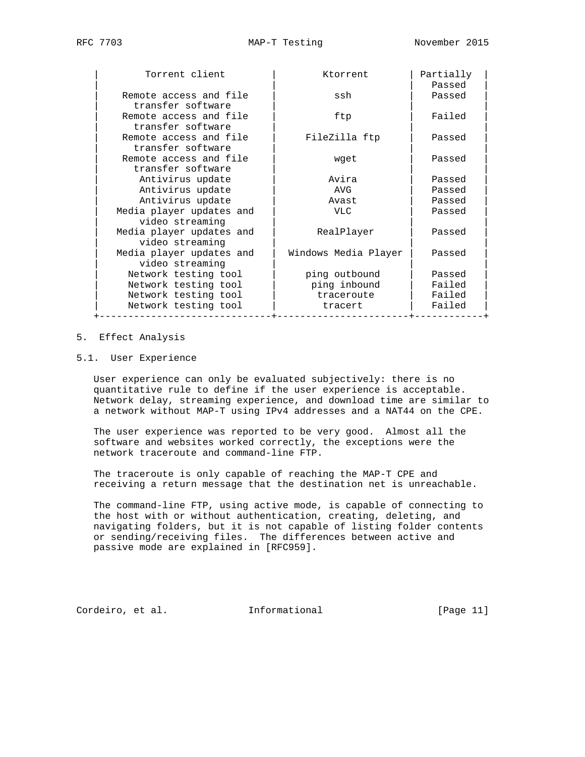| Torrent client           | Ktorrent             | Partially<br>Passed |
|--------------------------|----------------------|---------------------|
| Remote access and file   | ssh                  | Passed              |
| transfer software        |                      |                     |
| Remote access and file   | ftp                  | Failed              |
| transfer software        |                      |                     |
| Remote access and file   | FileZilla ftp        | Passed              |
| transfer software        |                      |                     |
| Remote access and file   | wget                 | Passed              |
| transfer software        |                      |                     |
| Antivirus update         | Avira                | Passed              |
| Antivirus update         | AVG                  | Passed              |
| Antivirus update         | Avast                | Passed              |
| Media player updates and | VLC                  | Passed              |
| video streaming          |                      |                     |
| Media player updates and | RealPlayer           | Passed              |
| video streaming          |                      |                     |
| Media player updates and | Windows Media Player | Passed              |
| video streaming          |                      |                     |
| Network testing tool     | ping outbound        | Passed              |
| Network testing tool     | ping inbound         | Failed              |
| Network testing tool     | traceroute           | Failed              |
| Network testing tool     | tracert              | Failed              |
|                          |                      |                     |

#### 5. Effect Analysis

### 5.1. User Experience

 User experience can only be evaluated subjectively: there is no quantitative rule to define if the user experience is acceptable. Network delay, streaming experience, and download time are similar to a network without MAP-T using IPv4 addresses and a NAT44 on the CPE.

 The user experience was reported to be very good. Almost all the software and websites worked correctly, the exceptions were the network traceroute and command-line FTP.

 The traceroute is only capable of reaching the MAP-T CPE and receiving a return message that the destination net is unreachable.

 The command-line FTP, using active mode, is capable of connecting to the host with or without authentication, creating, deleting, and navigating folders, but it is not capable of listing folder contents or sending/receiving files. The differences between active and passive mode are explained in [RFC959].

Cordeiro, et al. Informational [Page 11]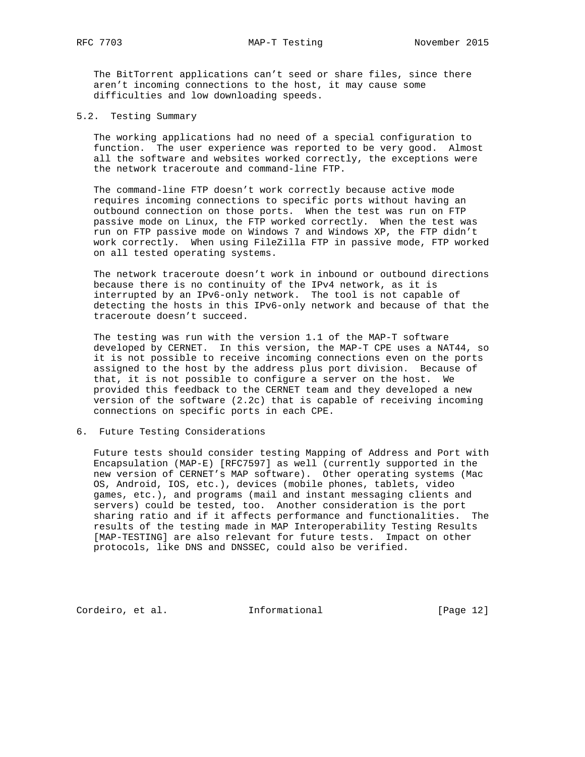The BitTorrent applications can't seed or share files, since there aren't incoming connections to the host, it may cause some difficulties and low downloading speeds.

#### 5.2. Testing Summary

 The working applications had no need of a special configuration to function. The user experience was reported to be very good. Almost all the software and websites worked correctly, the exceptions were the network traceroute and command-line FTP.

 The command-line FTP doesn't work correctly because active mode requires incoming connections to specific ports without having an outbound connection on those ports. When the test was run on FTP passive mode on Linux, the FTP worked correctly. When the test was run on FTP passive mode on Windows 7 and Windows XP, the FTP didn't work correctly. When using FileZilla FTP in passive mode, FTP worked on all tested operating systems.

 The network traceroute doesn't work in inbound or outbound directions because there is no continuity of the IPv4 network, as it is interrupted by an IPv6-only network. The tool is not capable of detecting the hosts in this IPv6-only network and because of that the traceroute doesn't succeed.

 The testing was run with the version 1.1 of the MAP-T software developed by CERNET. In this version, the MAP-T CPE uses a NAT44, so it is not possible to receive incoming connections even on the ports assigned to the host by the address plus port division. Because of that, it is not possible to configure a server on the host. We provided this feedback to the CERNET team and they developed a new version of the software (2.2c) that is capable of receiving incoming connections on specific ports in each CPE.

### 6. Future Testing Considerations

 Future tests should consider testing Mapping of Address and Port with Encapsulation (MAP-E) [RFC7597] as well (currently supported in the new version of CERNET's MAP software). Other operating systems (Mac OS, Android, IOS, etc.), devices (mobile phones, tablets, video games, etc.), and programs (mail and instant messaging clients and servers) could be tested, too. Another consideration is the port sharing ratio and if it affects performance and functionalities. The results of the testing made in MAP Interoperability Testing Results [MAP-TESTING] are also relevant for future tests. Impact on other protocols, like DNS and DNSSEC, could also be verified.

Cordeiro, et al. 1nformational [Page 12]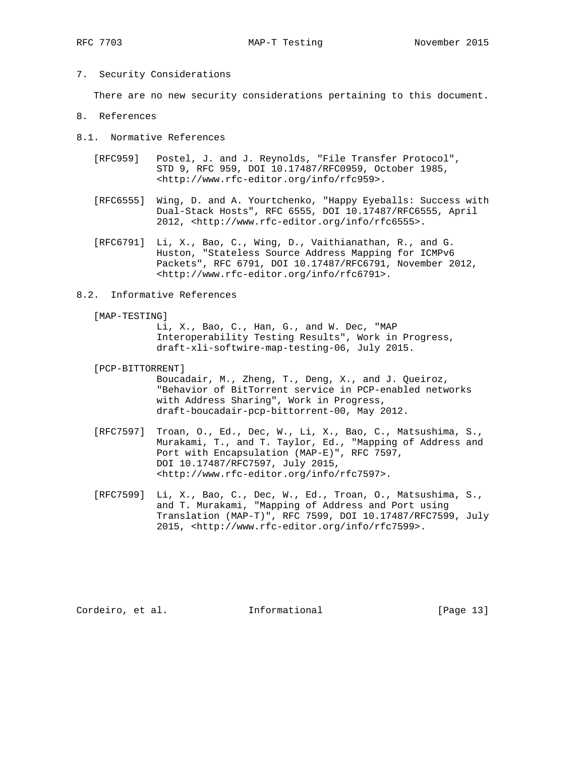7. Security Considerations

There are no new security considerations pertaining to this document.

- 8. References
- 8.1. Normative References
	- [RFC959] Postel, J. and J. Reynolds, "File Transfer Protocol", STD 9, RFC 959, DOI 10.17487/RFC0959, October 1985, <http://www.rfc-editor.org/info/rfc959>.
	- [RFC6555] Wing, D. and A. Yourtchenko, "Happy Eyeballs: Success with Dual-Stack Hosts", RFC 6555, DOI 10.17487/RFC6555, April 2012, <http://www.rfc-editor.org/info/rfc6555>.
	- [RFC6791] Li, X., Bao, C., Wing, D., Vaithianathan, R., and G. Huston, "Stateless Source Address Mapping for ICMPv6 Packets", RFC 6791, DOI 10.17487/RFC6791, November 2012, <http://www.rfc-editor.org/info/rfc6791>.
- 8.2. Informative References
	- [MAP-TESTING]

 Li, X., Bao, C., Han, G., and W. Dec, "MAP Interoperability Testing Results", Work in Progress, draft-xli-softwire-map-testing-06, July 2015.

[PCP-BITTORRENT]

 Boucadair, M., Zheng, T., Deng, X., and J. Queiroz, "Behavior of BitTorrent service in PCP-enabled networks with Address Sharing", Work in Progress, draft-boucadair-pcp-bittorrent-00, May 2012.

- [RFC7597] Troan, O., Ed., Dec, W., Li, X., Bao, C., Matsushima, S., Murakami, T., and T. Taylor, Ed., "Mapping of Address and Port with Encapsulation (MAP-E)", RFC 7597, DOI 10.17487/RFC7597, July 2015, <http://www.rfc-editor.org/info/rfc7597>.
- [RFC7599] Li, X., Bao, C., Dec, W., Ed., Troan, O., Matsushima, S., and T. Murakami, "Mapping of Address and Port using Translation (MAP-T)", RFC 7599, DOI 10.17487/RFC7599, July 2015, <http://www.rfc-editor.org/info/rfc7599>.

Cordeiro, et al. 1nformational [Page 13]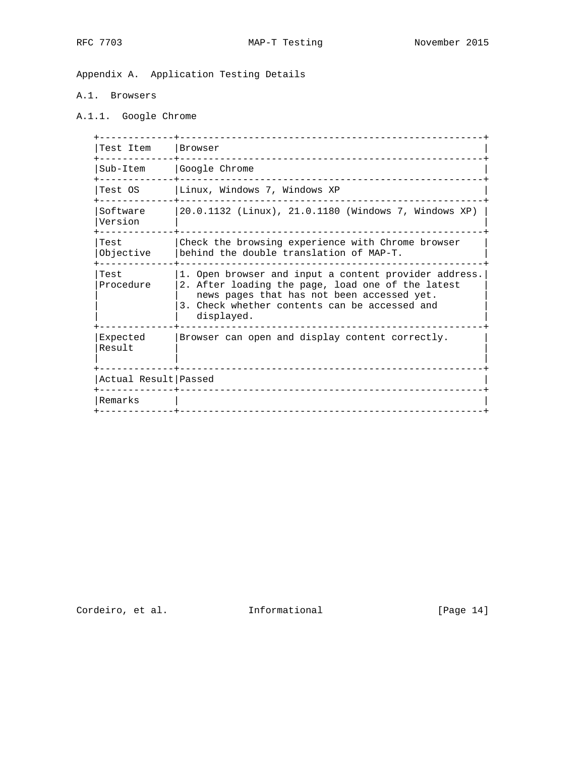Appendix A. Application Testing Details

### A.1. Browsers

A.1.1. Google Chrome

| Test Item              | Browser                                                                                                                                                                                                                 |
|------------------------|-------------------------------------------------------------------------------------------------------------------------------------------------------------------------------------------------------------------------|
| Sub-Item               | Google Chrome                                                                                                                                                                                                           |
| Test OS                | Linux, Windows 7, Windows XP                                                                                                                                                                                            |
| Software<br>Version    | 20.0.1132 (Linux), 21.0.1180 (Windows 7, Windows XP)                                                                                                                                                                    |
| Test<br>Objective      | Check the browsing experience with Chrome browser<br>behind the double translation of MAP-T.                                                                                                                            |
| Test<br>Procedure      | 1. Open browser and input a content provider address.<br>2. After loading the page, load one of the latest<br>news pages that has not been accessed yet.<br>3. Check whether contents can be accessed and<br>displayed. |
| Expected<br>Result     | Browser can open and display content correctly.                                                                                                                                                                         |
| Actual Result   Passed |                                                                                                                                                                                                                         |
| Remarks                |                                                                                                                                                                                                                         |
|                        |                                                                                                                                                                                                                         |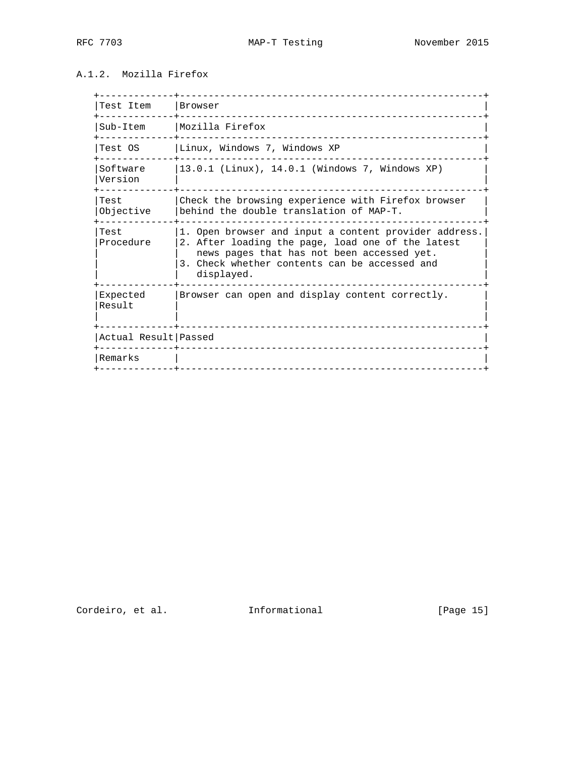## A.1.2. Mozilla Firefox

| Test Item            | Browser                                                                                                                                                                                                                 |
|----------------------|-------------------------------------------------------------------------------------------------------------------------------------------------------------------------------------------------------------------------|
| Sub-Item             | Mozilla Firefox                                                                                                                                                                                                         |
| Test OS              | Linux, Windows 7, Windows XP                                                                                                                                                                                            |
| Software<br>Version  | 13.0.1 (Linux), 14.0.1 (Windows 7, Windows XP)                                                                                                                                                                          |
| Test<br>Objective    | Check the browsing experience with Firefox browser<br>behind the double translation of MAP-T.                                                                                                                           |
| Test<br>Procedure    | 1. Open browser and input a content provider address.<br>2. After loading the page, load one of the latest<br>news pages that has not been accessed yet.<br>3. Check whether contents can be accessed and<br>displayed. |
| Expected<br>Result   | Browser can open and display content correctly.                                                                                                                                                                         |
| Actual Result Passed |                                                                                                                                                                                                                         |
| Remarks              |                                                                                                                                                                                                                         |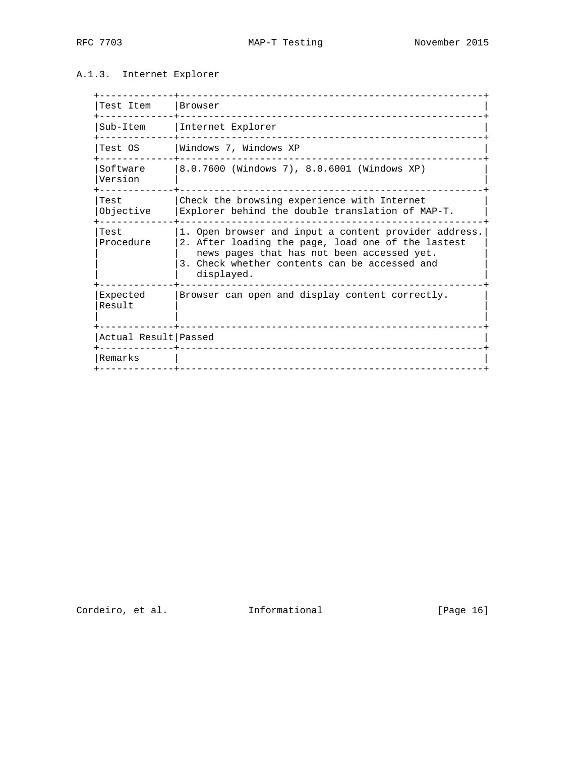## A.1.3. Internet Explorer

| Test Item            | Browser                                                                                                                                                                                                                  |
|----------------------|--------------------------------------------------------------------------------------------------------------------------------------------------------------------------------------------------------------------------|
|                      | Sub-Item   Internet Explorer                                                                                                                                                                                             |
| Test OS              | Windows 7, Windows XP                                                                                                                                                                                                    |
| Software<br>Version  | 8.0.7600 (Windows 7), 8.0.6001 (Windows XP)                                                                                                                                                                              |
| Test<br>Objective    | Check the browsing experience with Internet<br>Explorer behind the double translation of MAP-T.                                                                                                                          |
| Test<br>Procedure    | 1. Open browser and input a content provider address.<br>2. After loading the page, load one of the lastest<br>news pages that has not been accessed yet.<br>3. Check whether contents can be accessed and<br>displayed. |
| Expected<br>Result   | Browser can open and display content correctly.                                                                                                                                                                          |
| Actual Result Passed |                                                                                                                                                                                                                          |
| Remarks              |                                                                                                                                                                                                                          |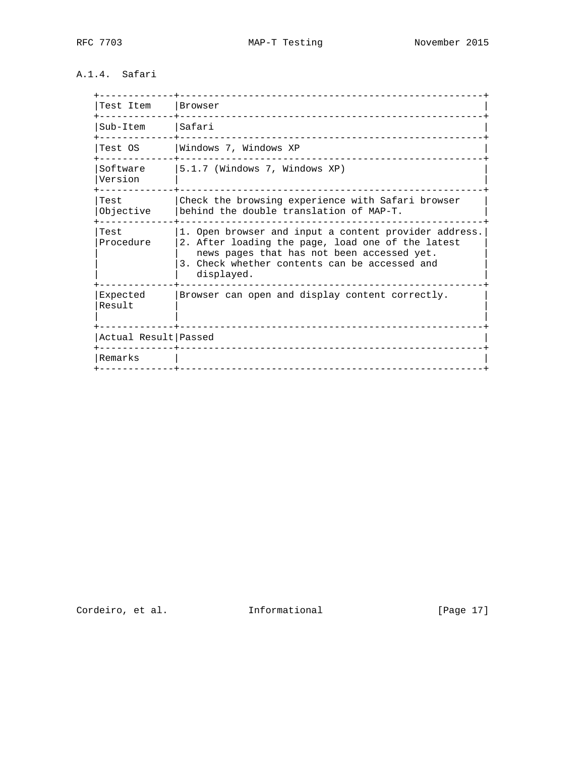## A.1.4. Safari

| Test Item            | Browser                                                                                                                                                                                                                 |
|----------------------|-------------------------------------------------------------------------------------------------------------------------------------------------------------------------------------------------------------------------|
| Sub-Item             | Safari                                                                                                                                                                                                                  |
| Test OS              | Windows 7, Windows XP                                                                                                                                                                                                   |
| Software<br>Version  | 5.1.7 (Windows 7, Windows XP)                                                                                                                                                                                           |
| Test<br>Objective    | Check the browsing experience with Safari browser<br>behind the double translation of MAP-T.                                                                                                                            |
| Test<br>Procedure    | 1. Open browser and input a content provider address.<br>2. After loading the page, load one of the latest<br>news pages that has not been accessed yet.<br>3. Check whether contents can be accessed and<br>displayed. |
| Expected<br>Result   | Browser can open and display content correctly.                                                                                                                                                                         |
| Actual Result Passed |                                                                                                                                                                                                                         |
| Remarks              |                                                                                                                                                                                                                         |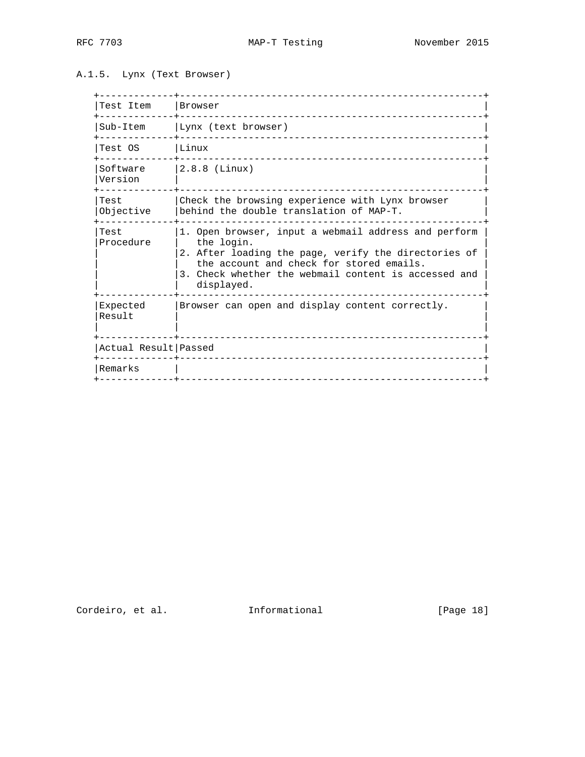A.1.5. Lynx (Text Browser)

| Test Item            | Browser<br><u>Listense in de legen</u>                                                                                                                                                                                                       |
|----------------------|----------------------------------------------------------------------------------------------------------------------------------------------------------------------------------------------------------------------------------------------|
| Sub-Item             | Lynx (text browser)                                                                                                                                                                                                                          |
| Test OS              | Linux                                                                                                                                                                                                                                        |
| Software<br>Version  | $2.8.8$ (Linux)                                                                                                                                                                                                                              |
| Test<br>Objective    | Check the browsing experience with Lynx browser<br>behind the double translation of MAP-T.                                                                                                                                                   |
| Test<br>Procedure    | 1. Open browser, input a webmail address and perform<br>the login.<br>2. After loading the page, verify the directories of<br>the account and check for stored emails.<br>3. Check whether the webmail content is accessed and<br>displayed. |
| Expected<br>Result   | Browser can open and display content correctly.                                                                                                                                                                                              |
| Actual Result Passed |                                                                                                                                                                                                                                              |
| Remarks              |                                                                                                                                                                                                                                              |
|                      |                                                                                                                                                                                                                                              |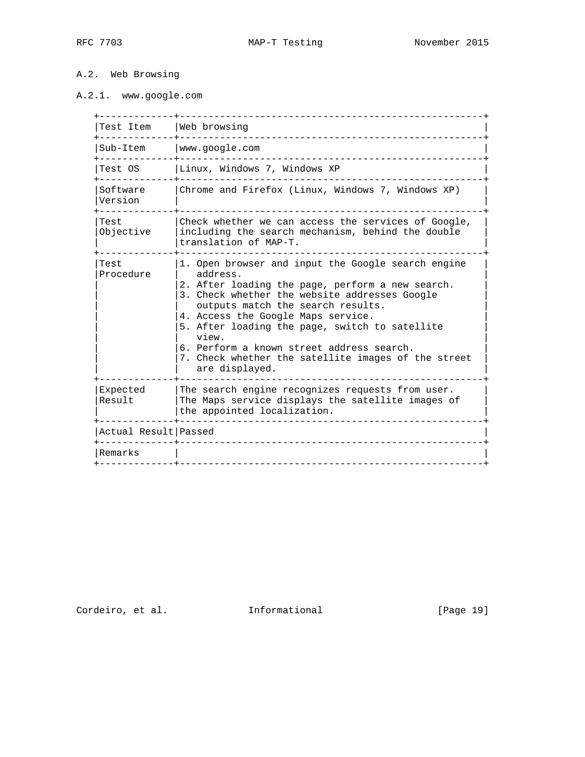## A.2. Web Browsing

# A.2.1. www.google.com

| Test Item              | Web browsing                                                                                                                                                                                                                                                                                                                                                                                                                    |
|------------------------|---------------------------------------------------------------------------------------------------------------------------------------------------------------------------------------------------------------------------------------------------------------------------------------------------------------------------------------------------------------------------------------------------------------------------------|
| Sub-Item               | www.google.com                                                                                                                                                                                                                                                                                                                                                                                                                  |
| Test OS                | Linux, Windows 7, Windows XP                                                                                                                                                                                                                                                                                                                                                                                                    |
| Software<br>Version    | Chrome and Firefox (Linux, Windows 7, Windows XP)                                                                                                                                                                                                                                                                                                                                                                               |
| Test<br>Objective      | Check whether we can access the services of Google,<br>including the search mechanism, behind the double<br>translation of MAP-T.                                                                                                                                                                                                                                                                                               |
| Test<br>Procedure      | 1. Open browser and input the Google search engine<br>address.<br>2. After loading the page, perform a new search.<br>3. Check whether the website addresses Google<br>outputs match the search results.<br>4. Access the Google Maps service.<br>5. After loading the page, switch to satellite<br>view.<br>6. Perform a known street address search.<br>7. Check whether the satellite images of the street<br>are displayed. |
| Expected<br>Result     | The search engine recognizes requests from user.<br>The Maps service displays the satellite images of<br>the appointed localization.                                                                                                                                                                                                                                                                                            |
| Actual Result   Passed |                                                                                                                                                                                                                                                                                                                                                                                                                                 |
| Remarks                |                                                                                                                                                                                                                                                                                                                                                                                                                                 |

Cordeiro, et al. 1nformational [Page 19]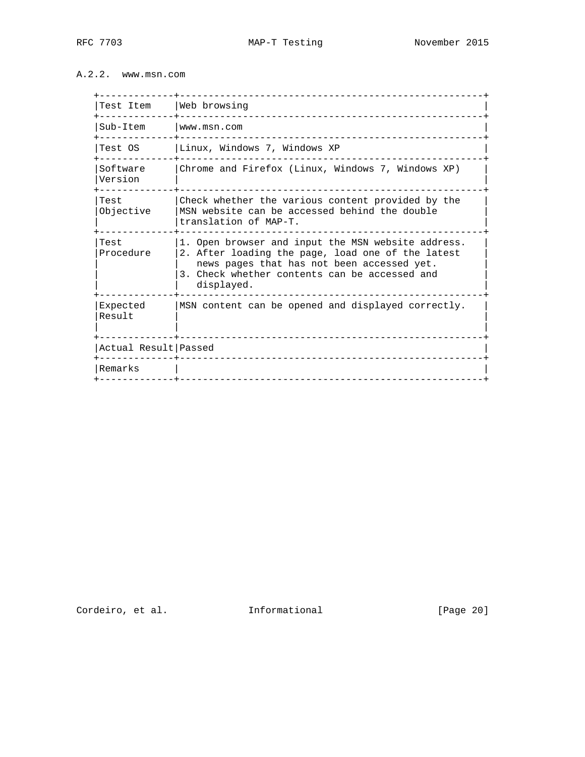## A.2.2. www.msn.com

| Test Item              | Web browsing                                                                                                                                                                                                         |
|------------------------|----------------------------------------------------------------------------------------------------------------------------------------------------------------------------------------------------------------------|
| Sub-Item               | www.msn.com                                                                                                                                                                                                          |
| Test OS                | Linux, Windows 7, Windows XP                                                                                                                                                                                         |
| Software<br>Version    | Chrome and Firefox (Linux, Windows 7, Windows XP)                                                                                                                                                                    |
| Test<br>Objective      | Check whether the various content provided by the<br>MSN website can be accessed behind the double<br>translation of MAP-T.                                                                                          |
| Test<br>Procedure      | 1. Open browser and input the MSN website address.<br>2. After loading the page, load one of the latest<br>news pages that has not been accessed yet.<br>3. Check whether contents can be accessed and<br>displayed. |
| Expected<br>Result     | MSN content can be opened and displayed correctly.                                                                                                                                                                   |
| Actual Result   Passed |                                                                                                                                                                                                                      |
| Remarks                |                                                                                                                                                                                                                      |
|                        |                                                                                                                                                                                                                      |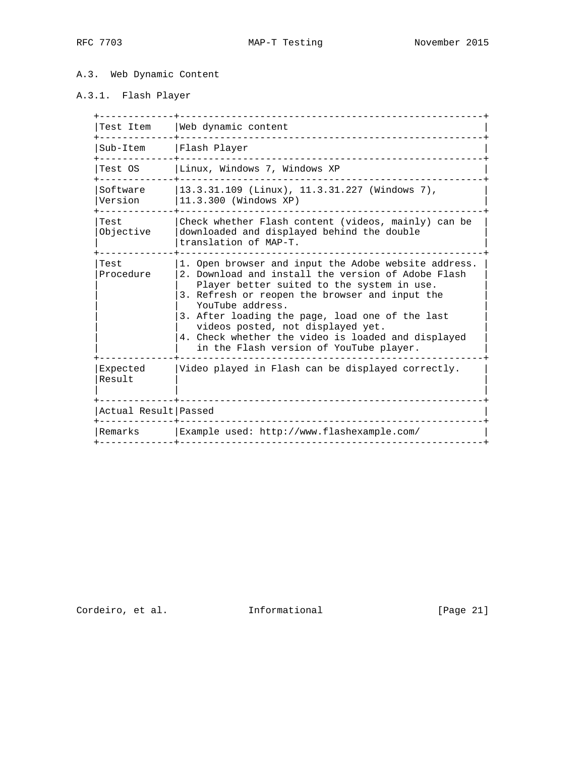### A.3. Web Dynamic Content

# A.3.1. Flash Player

| Test Item            | Web dynamic content                                                                                                                                                                                                                                                                                                                                                                                                     |
|----------------------|-------------------------------------------------------------------------------------------------------------------------------------------------------------------------------------------------------------------------------------------------------------------------------------------------------------------------------------------------------------------------------------------------------------------------|
| Sub-Item             | Flash Player                                                                                                                                                                                                                                                                                                                                                                                                            |
| Test OS              | Linux, Windows 7, Windows XP                                                                                                                                                                                                                                                                                                                                                                                            |
| Software<br>Version  | 13.3.31.109 (Linux), 11.3.31.227 (Windows 7),<br>11.3.300 (Windows XP)                                                                                                                                                                                                                                                                                                                                                  |
| Test<br>Objective    | Check whether Flash content (videos, mainly) can be<br>downloaded and displayed behind the double<br>translation of MAP-T.                                                                                                                                                                                                                                                                                              |
| Test<br>Procedure    | 1. Open browser and input the Adobe website address.<br>2. Download and install the version of Adobe Flash<br>Player better suited to the system in use.<br>3. Refresh or reopen the browser and input the<br>YouTube address.<br>3. After loading the page, load one of the last<br>videos posted, not displayed yet.<br>4. Check whether the video is loaded and displayed<br>in the Flash version of YouTube player. |
| Expected<br>Result   | Video played in Flash can be displayed correctly.                                                                                                                                                                                                                                                                                                                                                                       |
| Actual Result Passed |                                                                                                                                                                                                                                                                                                                                                                                                                         |
|                      |                                                                                                                                                                                                                                                                                                                                                                                                                         |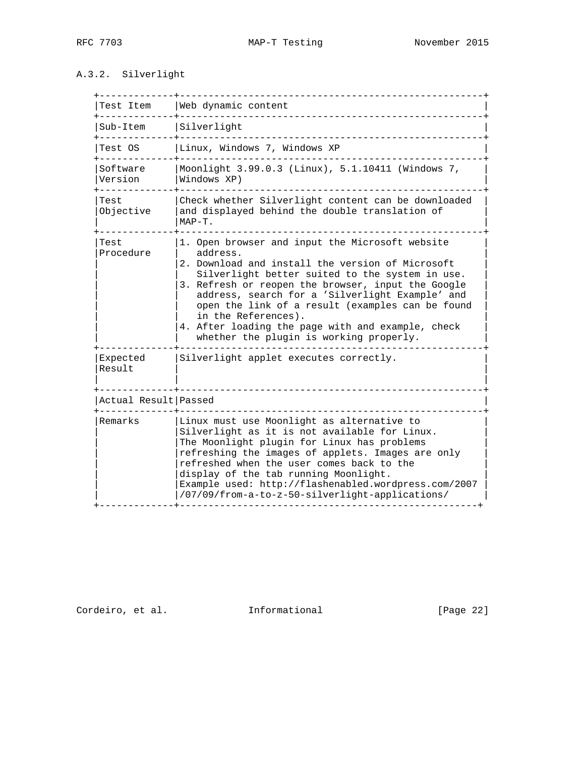### A.3.2. Silverlight

| Test Item            | Web dynamic content                                                                                                                                                                                                                                                                                                                                                                                                                                    |
|----------------------|--------------------------------------------------------------------------------------------------------------------------------------------------------------------------------------------------------------------------------------------------------------------------------------------------------------------------------------------------------------------------------------------------------------------------------------------------------|
| Sub-Item             | Silverlight                                                                                                                                                                                                                                                                                                                                                                                                                                            |
| Test OS              | Linux, Windows 7, Windows XP                                                                                                                                                                                                                                                                                                                                                                                                                           |
| Software<br>Version  | Moonlight 3.99.0.3 (Linux), 5.1.10411 (Windows 7,<br>Windows XP)                                                                                                                                                                                                                                                                                                                                                                                       |
| Test<br>Objective    | Check whether Silverlight content can be downloaded<br>and displayed behind the double translation of<br>$MAP-T$ .                                                                                                                                                                                                                                                                                                                                     |
| Test<br>Procedure    | 1. Open browser and input the Microsoft website<br>address.<br>2. Download and install the version of Microsoft<br>Silverlight better suited to the system in use.<br>3. Refresh or reopen the browser, input the Google<br>address, search for a 'Silverlight Example' and<br>open the link of a result (examples can be found<br>in the References).<br>4. After loading the page with and example, check<br>whether the plugin is working properly. |
| Expected<br>Result   | Silverlight applet executes correctly.                                                                                                                                                                                                                                                                                                                                                                                                                 |
| Actual Result Passed |                                                                                                                                                                                                                                                                                                                                                                                                                                                        |
| Remarks              | Linux must use Moonlight as alternative to<br>Silverlight as it is not available for Linux.<br>The Moonlight plugin for Linux has problems<br>refreshing the images of applets. Images are only<br>refreshed when the user comes back to the<br>display of the tab running Moonlight.<br>Example used: http://flashenabled.wordpress.com/2007<br>/07/09/from-a-to-z-50-silverlight-applications/                                                       |

Cordeiro, et al. 1nformational [Page 22]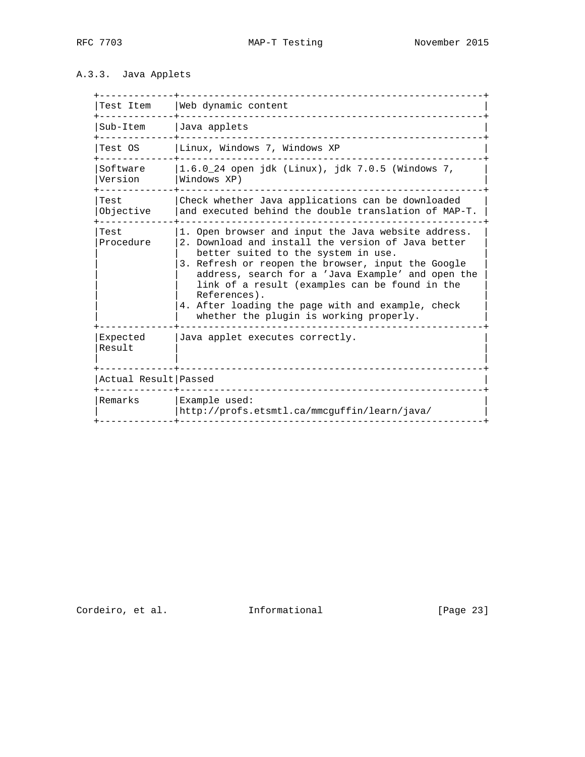## A.3.3. Java Applets

| Test Item            | Web dynamic content                                                                                                                                                                                                                                                                                                                                                                                                           |
|----------------------|-------------------------------------------------------------------------------------------------------------------------------------------------------------------------------------------------------------------------------------------------------------------------------------------------------------------------------------------------------------------------------------------------------------------------------|
| Sub-Item             | Java applets                                                                                                                                                                                                                                                                                                                                                                                                                  |
| Test OS              | Linux, Windows 7, Windows XP                                                                                                                                                                                                                                                                                                                                                                                                  |
| Software<br>Version  | $1.6.0$ 24 open jdk (Linux), jdk 7.0.5 (Windows 7,<br>Windows XP)                                                                                                                                                                                                                                                                                                                                                             |
| Test<br>Objective    | Check whether Java applications can be downloaded<br>and executed behind the double translation of MAP-T.                                                                                                                                                                                                                                                                                                                     |
| Test<br>Procedure    | 1. Open browser and input the Java website address.<br>2. Download and install the version of Java better<br>better suited to the system in use.<br>3. Refresh or reopen the browser, input the Google<br>address, search for a 'Java Example' and open the<br>link of a result (examples can be found in the<br>References).<br>4. After loading the page with and example, check<br>whether the plugin is working properly. |
| Expected<br>Result   | Java applet executes correctly.                                                                                                                                                                                                                                                                                                                                                                                               |
| Actual Result Passed |                                                                                                                                                                                                                                                                                                                                                                                                                               |
| Remarks              | Example used:<br>http://profs.etsmtl.ca/mmcguffin/learn/java/                                                                                                                                                                                                                                                                                                                                                                 |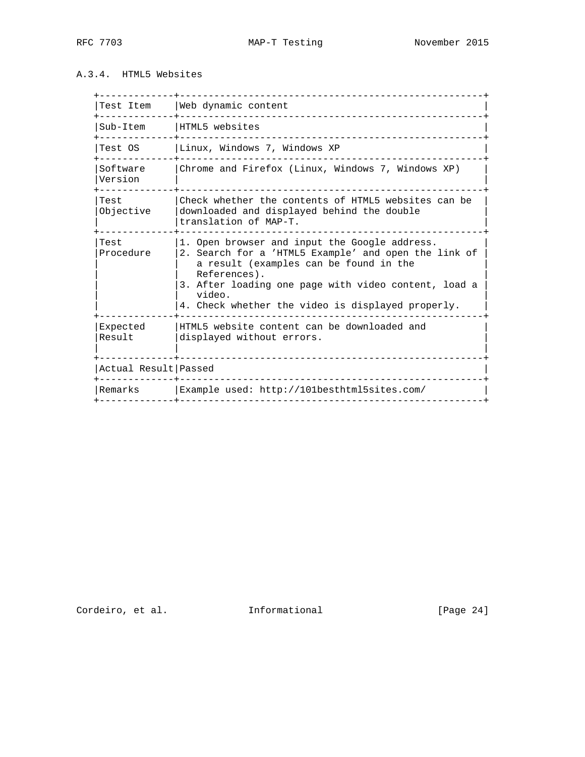### A.3.4. HTML5 Websites

| Test Item            | Web dynamic content                                                                                                                                                                                                                                                                    |
|----------------------|----------------------------------------------------------------------------------------------------------------------------------------------------------------------------------------------------------------------------------------------------------------------------------------|
| Sub-Item             | HTML5 websites                                                                                                                                                                                                                                                                         |
| Test OS              | Linux, Windows 7, Windows XP                                                                                                                                                                                                                                                           |
| Software<br>Version  | Chrome and Firefox (Linux, Windows 7, Windows XP)                                                                                                                                                                                                                                      |
| Test<br>Objective    | Check whether the contents of HTML5 websites can be<br>downloaded and displayed behind the double<br>translation of MAP-T.                                                                                                                                                             |
| Test<br>Procedure    | 1. Open browser and input the Google address.<br>2. Search for a 'HTML5 Example' and open the link of<br>a result (examples can be found in the<br>References).<br>3. After loading one page with video content, load a<br>video.<br>4. Check whether the video is displayed properly. |
| Expected<br>Result   | HTML5 website content can be downloaded and<br>displayed without errors.                                                                                                                                                                                                               |
| Actual Result Passed |                                                                                                                                                                                                                                                                                        |
| Remarks              | Example used: http://101besthtml5sites.com/                                                                                                                                                                                                                                            |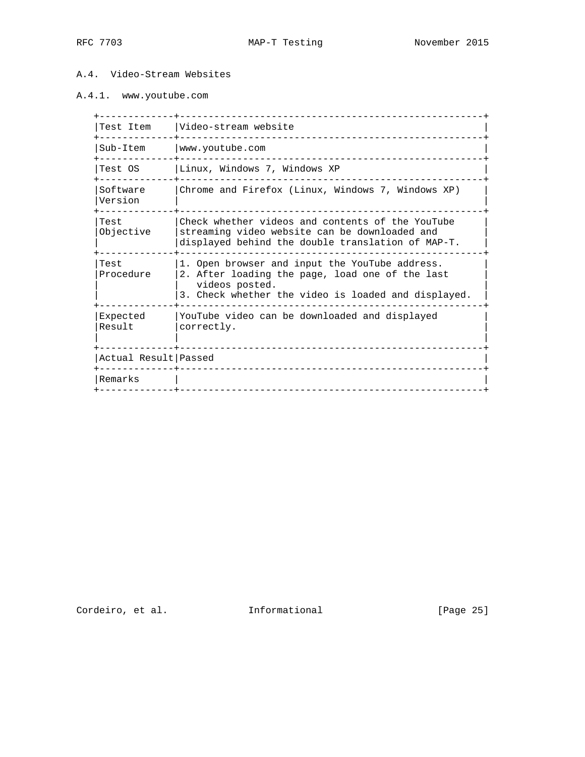### A.4. Video-Stream Websites

### A.4.1. www.youtube.com

| Test Item            | Video-stream website                                                                                                                                                       |
|----------------------|----------------------------------------------------------------------------------------------------------------------------------------------------------------------------|
| Sub-Item             | www.youtube.com                                                                                                                                                            |
| Test OS              | Linux, Windows 7, Windows XP                                                                                                                                               |
| Software<br>Version  | Chrome and Firefox (Linux, Windows 7, Windows XP)                                                                                                                          |
| Test<br>Objective    | Check whether videos and contents of the YouTube<br>streaming video website can be downloaded and<br>displayed behind the double translation of MAP-T.                     |
| Test<br>Procedure    | 1. Open browser and input the YouTube address.<br>2. After loading the page, load one of the last<br>videos posted.<br>3. Check whether the video is loaded and displayed. |
| Expected<br>Result   | YouTube video can be downloaded and displayed<br>correctly.                                                                                                                |
| Actual Result Passed |                                                                                                                                                                            |
| Remarks              |                                                                                                                                                                            |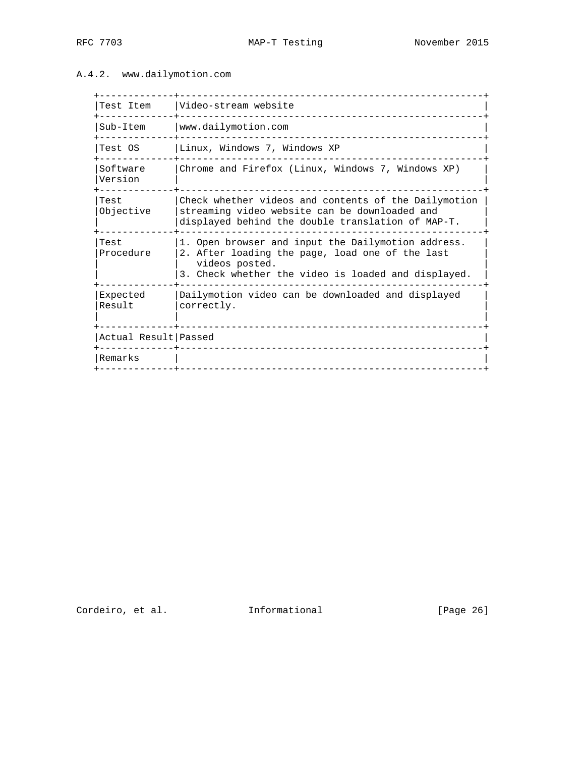### A.4.2. www.dailymotion.com

| Test Item            | Video-stream website                                                                                                                                                           |
|----------------------|--------------------------------------------------------------------------------------------------------------------------------------------------------------------------------|
| Sub-Item             | www.dailymotion.com                                                                                                                                                            |
| Test OS              | Linux, Windows 7, Windows XP                                                                                                                                                   |
| Software<br>Version  | Chrome and Firefox (Linux, Windows 7, Windows XP)                                                                                                                              |
| Test<br>Objective    | Check whether videos and contents of the Dailymotion<br>streaming video website can be downloaded and<br>displayed behind the double translation of MAP-T.                     |
| Test<br>Procedure    | 1. Open browser and input the Dailymotion address.<br>2. After loading the page, load one of the last<br>videos posted.<br>3. Check whether the video is loaded and displayed. |
| Expected<br>Result   | Dailymotion video can be downloaded and displayed<br>correctly.                                                                                                                |
| Actual Result Passed |                                                                                                                                                                                |
| Remarks              |                                                                                                                                                                                |

Cordeiro, et al. 1nformational [Page 26]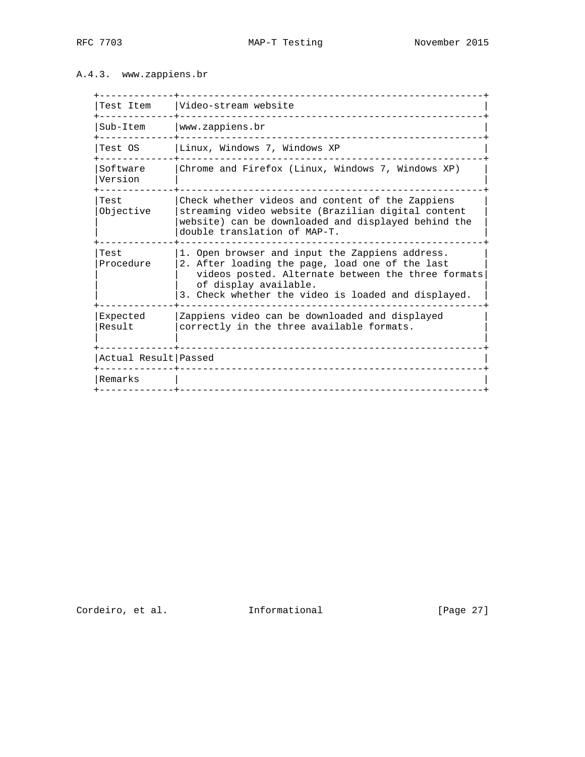### A.4.3. www.zappiens.br

| Test Item            | Video-stream website                                                                                                                                                                                                                     |
|----------------------|------------------------------------------------------------------------------------------------------------------------------------------------------------------------------------------------------------------------------------------|
| Sub-Item             | www.zappiens.br                                                                                                                                                                                                                          |
| Test OS              | Linux, Windows 7, Windows XP                                                                                                                                                                                                             |
| Software<br>Version  | Chrome and Firefox (Linux, Windows 7, Windows XP)                                                                                                                                                                                        |
| Test<br>Objective    | Check whether videos and content of the Zappiens<br>streaming video website (Brazilian digital content<br>website) can be downloaded and displayed behind the<br>double translation of MAP-T.                                            |
| Test<br>Procedure    | 1. Open browser and input the Zappiens address.<br>2. After loading the page, load one of the last<br>videos posted. Alternate between the three formats<br>of display available.<br>3. Check whether the video is loaded and displayed. |
| Expected<br>Result   | Zappiens video can be downloaded and displayed<br>correctly in the three available formats.                                                                                                                                              |
| Actual Result Passed |                                                                                                                                                                                                                                          |
| Remarks              |                                                                                                                                                                                                                                          |
|                      |                                                                                                                                                                                                                                          |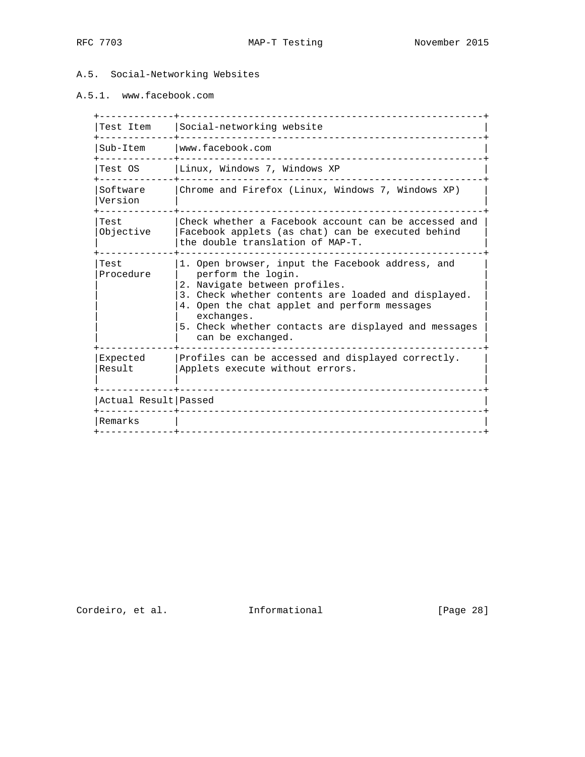### A.5. Social-Networking Websites

## A.5.1. www.facebook.com

| Test Item            | Social-networking website                                                                                                                                                                                                                                                                                 |
|----------------------|-----------------------------------------------------------------------------------------------------------------------------------------------------------------------------------------------------------------------------------------------------------------------------------------------------------|
| Sub-Item             | www.facebook.com                                                                                                                                                                                                                                                                                          |
| Test OS              | Linux, Windows 7, Windows XP                                                                                                                                                                                                                                                                              |
| Software<br>Version  | Chrome and Firefox (Linux, Windows 7, Windows XP)                                                                                                                                                                                                                                                         |
| Test<br>Objective    | Check whether a Facebook account can be accessed and<br>Facebook applets (as chat) can be executed behind<br>the double translation of MAP-T.                                                                                                                                                             |
| Test<br>Procedure    | 1. Open browser, input the Facebook address, and<br>perform the login.<br>2. Navigate between profiles.<br>3. Check whether contents are loaded and displayed.<br>4. Open the chat applet and perform messages<br>exchanges.<br>5. Check whether contacts are displayed and messages<br>can be exchanged. |
| Expected<br>Result   | Profiles can be accessed and displayed correctly.<br>Applets execute without errors.                                                                                                                                                                                                                      |
| Actual Result Passed |                                                                                                                                                                                                                                                                                                           |
| Remarks              |                                                                                                                                                                                                                                                                                                           |
|                      |                                                                                                                                                                                                                                                                                                           |

Cordeiro, et al. 1nformational [Page 28]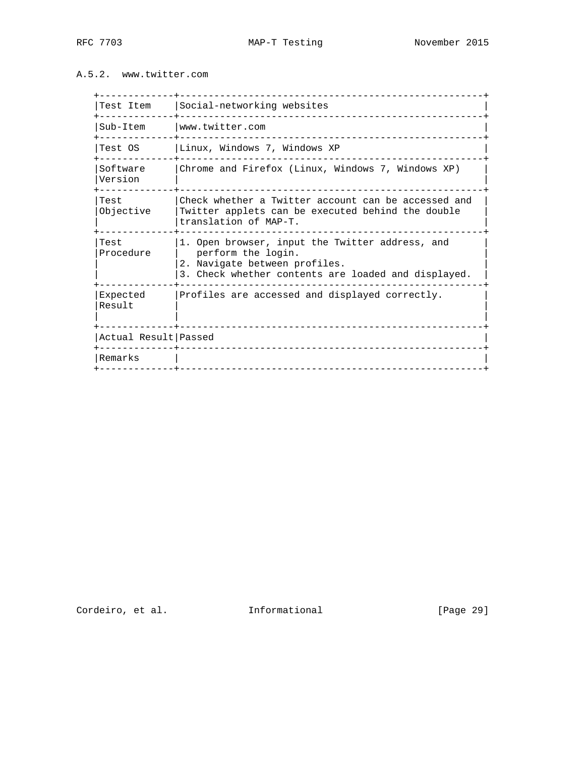### A.5.2. www.twitter.com

| Test Item            |                                                                                                                                                               |
|----------------------|---------------------------------------------------------------------------------------------------------------------------------------------------------------|
|                      | Social-networking websites                                                                                                                                    |
| Sub-Item             | www.twitter.com                                                                                                                                               |
| Test OS              | Linux, Windows 7, Windows XP                                                                                                                                  |
| Software<br>Version  | Chrome and Firefox (Linux, Windows 7, Windows XP)                                                                                                             |
| Test<br>Objective    | Check whether a Twitter account can be accessed and<br>Twitter applets can be executed behind the double<br>translation of MAP-T.                             |
| Test<br>Procedure    | 1. Open browser, input the Twitter address, and<br>perform the login.<br>2. Navigate between profiles.<br>3. Check whether contents are loaded and displayed. |
| Expected<br>Result   | Profiles are accessed and displayed correctly.                                                                                                                |
| Actual Result Passed |                                                                                                                                                               |
| Remarks              |                                                                                                                                                               |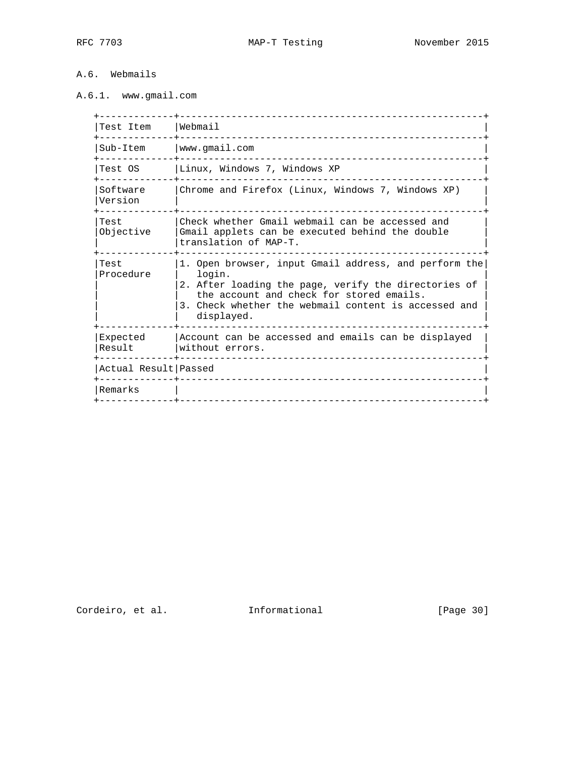## A.6. Webmails

# A.6.1. www.gmail.com

| Test Item            | Webmail                                                                                                                                                                                                                                   |
|----------------------|-------------------------------------------------------------------------------------------------------------------------------------------------------------------------------------------------------------------------------------------|
| Sub-Item             | www.gmail.com                                                                                                                                                                                                                             |
| Test OS              | Linux, Windows 7, Windows XP                                                                                                                                                                                                              |
| Software<br>Version  | Chrome and Firefox (Linux, Windows 7, Windows XP)                                                                                                                                                                                         |
| Test<br>Objective    | Check whether Gmail webmail can be accessed and<br>Gmail applets can be executed behind the double<br>translation of MAP-T.                                                                                                               |
| Test<br>Procedure    | 1. Open browser, input Gmail address, and perform the<br>login.<br>2. After loading the page, verify the directories of<br>the account and check for stored emails.<br>3. Check whether the webmail content is accessed and<br>displayed. |
| Expected<br>Result   | Account can be accessed and emails can be displayed<br>without errors.                                                                                                                                                                    |
| Actual Result Passed |                                                                                                                                                                                                                                           |
| Remarks              |                                                                                                                                                                                                                                           |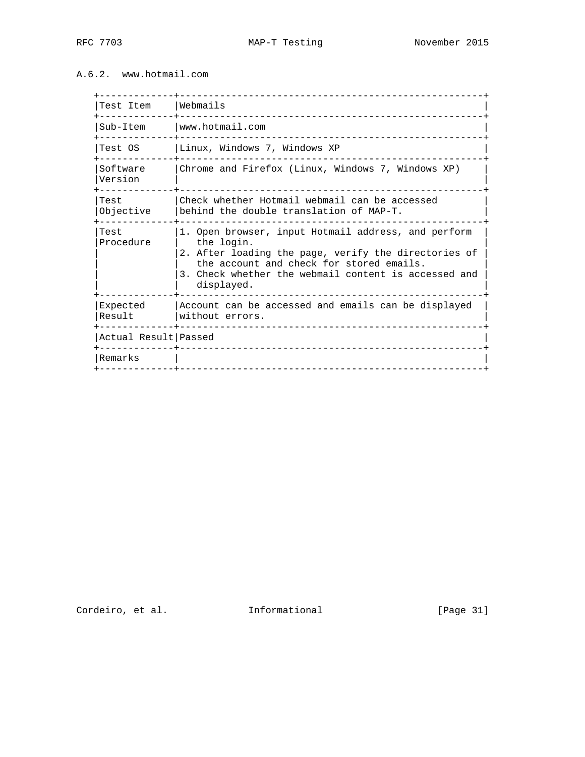A.6.2. www.hotmail.com

| Test Item            | Webmails                                                                                                                                                                                                                                    |
|----------------------|---------------------------------------------------------------------------------------------------------------------------------------------------------------------------------------------------------------------------------------------|
| Sub-Item             | www.hotmail.com                                                                                                                                                                                                                             |
| Test OS              | Linux, Windows 7, Windows XP                                                                                                                                                                                                                |
| Software<br>Version  | Chrome and Firefox (Linux, Windows 7, Windows XP)                                                                                                                                                                                           |
| Test<br>Objective    | Check whether Hotmail webmail can be accessed<br>behind the double translation of MAP-T.                                                                                                                                                    |
| Test<br>Procedure    | 1. Open browser, input Hotmail address, and perform<br>the login.<br>2. After loading the page, verify the directories of<br>the account and check for stored emails.<br>3. Check whether the webmail content is accessed and<br>displayed. |
| Expected<br>Result   | Account can be accessed and emails can be displayed<br>without errors.                                                                                                                                                                      |
| Actual Result Passed |                                                                                                                                                                                                                                             |
| Remarks              |                                                                                                                                                                                                                                             |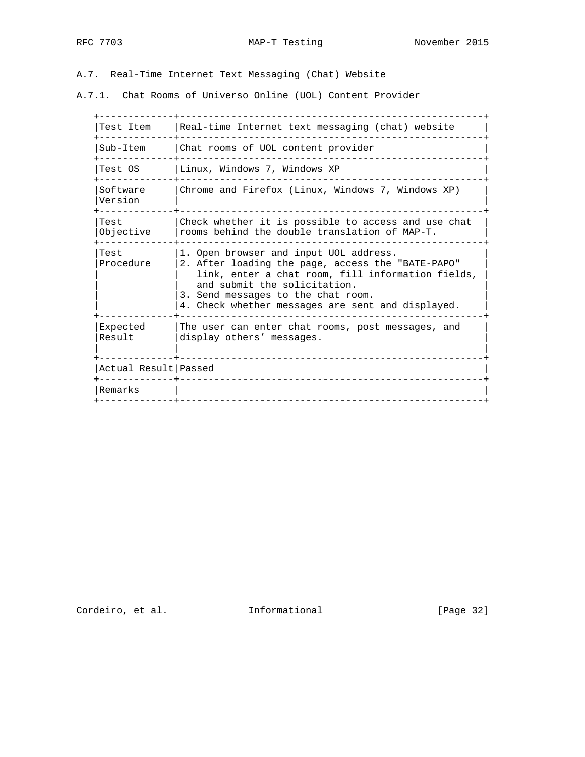A.7. Real-Time Internet Text Messaging (Chat) Website

A.7.1. Chat Rooms of Universo Online (UOL) Content Provider

| Test Item            | Real-time Internet text messaging (chat) website                                                                                                                                                                                                                            |
|----------------------|-----------------------------------------------------------------------------------------------------------------------------------------------------------------------------------------------------------------------------------------------------------------------------|
| Sub-Item             | Chat rooms of UOL content provider                                                                                                                                                                                                                                          |
| Test OS              | Linux, Windows 7, Windows XP                                                                                                                                                                                                                                                |
| Software<br>Version  | Chrome and Firefox (Linux, Windows 7, Windows XP)                                                                                                                                                                                                                           |
| Test<br>Objective    | Check whether it is possible to access and use chat<br>rooms behind the double translation of MAP-T.                                                                                                                                                                        |
| Test<br>Procedure    | 1. Open browser and input UOL address.<br>2. After loading the page, access the "BATE-PAPO"<br>link, enter a chat room, fill information fields,<br>and submit the solicitation.<br>3. Send messages to the chat room.<br>4. Check whether messages are sent and displayed. |
| Expected<br>Result   | The user can enter chat rooms, post messages, and<br>display others' messages.                                                                                                                                                                                              |
| Actual Result Passed |                                                                                                                                                                                                                                                                             |
| Remarks              |                                                                                                                                                                                                                                                                             |
|                      |                                                                                                                                                                                                                                                                             |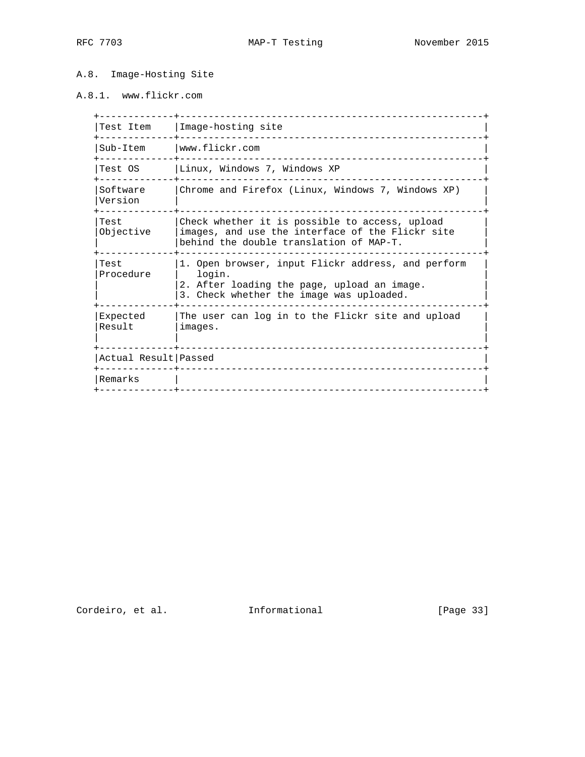### A.8. Image-Hosting Site

### A.8.1. www.flickr.com

| Test Item            | Image-hosting site                                                                                                                                      |
|----------------------|---------------------------------------------------------------------------------------------------------------------------------------------------------|
| Sub-Item             | www.flickr.com                                                                                                                                          |
| Test OS              | Linux, Windows 7, Windows XP                                                                                                                            |
| Software<br>Version  | Chrome and Firefox (Linux, Windows 7, Windows XP)                                                                                                       |
| Test<br>Objective    | Check whether it is possible to access, upload<br>images, and use the interface of the Flickr site<br>behind the double translation of MAP-T.           |
| Test<br>Procedure    | 1. Open browser, input Flickr address, and perform<br>login.<br>2. After loading the page, upload an image.<br>3. Check whether the image was uploaded. |
| Expected<br>Result   | The user can log in to the Flickr site and upload<br>images.                                                                                            |
| Actual Result Passed |                                                                                                                                                         |
| Remarks              |                                                                                                                                                         |
|                      |                                                                                                                                                         |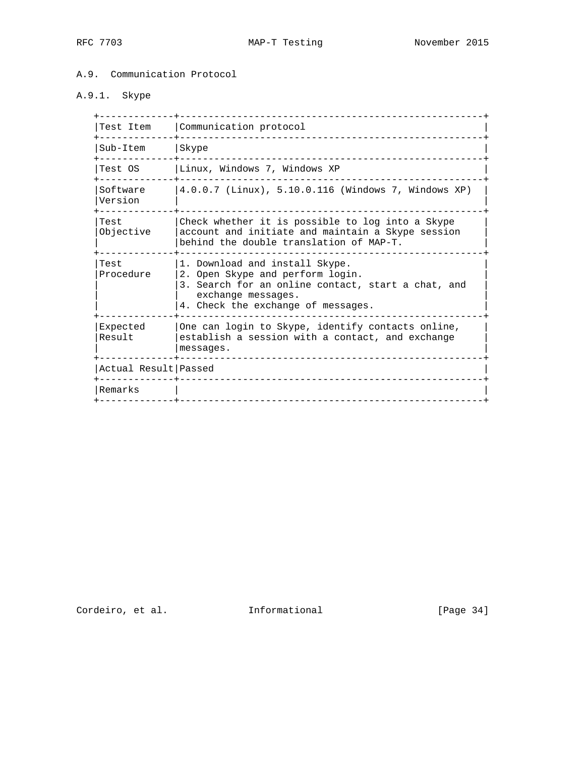### A.9. Communication Protocol

# A.9.1. Skype

| Test Item              | Communication protocol                                                                                                                                                               |
|------------------------|--------------------------------------------------------------------------------------------------------------------------------------------------------------------------------------|
| Sub-Item               | Skype                                                                                                                                                                                |
| Test OS                | Linux, Windows 7, Windows XP                                                                                                                                                         |
| Software<br>Version    | 4.0.0.7 (Linux), 5.10.0.116 (Windows 7, Windows XP)                                                                                                                                  |
| Test<br>Objective      | Check whether it is possible to log into a Skype<br>account and initiate and maintain a Skype session<br>behind the double translation of MAP-T.                                     |
| Test<br>Procedure      | 1. Download and install Skype.<br>2. Open Skype and perform login.<br>3. Search for an online contact, start a chat, and<br>exchange messages.<br>4. Check the exchange of messages. |
| Expected<br>Result     | One can login to Skype, identify contacts online,<br>establish a session with a contact, and exchange<br>messages.                                                                   |
| Actual Result   Passed |                                                                                                                                                                                      |
| Remarks                |                                                                                                                                                                                      |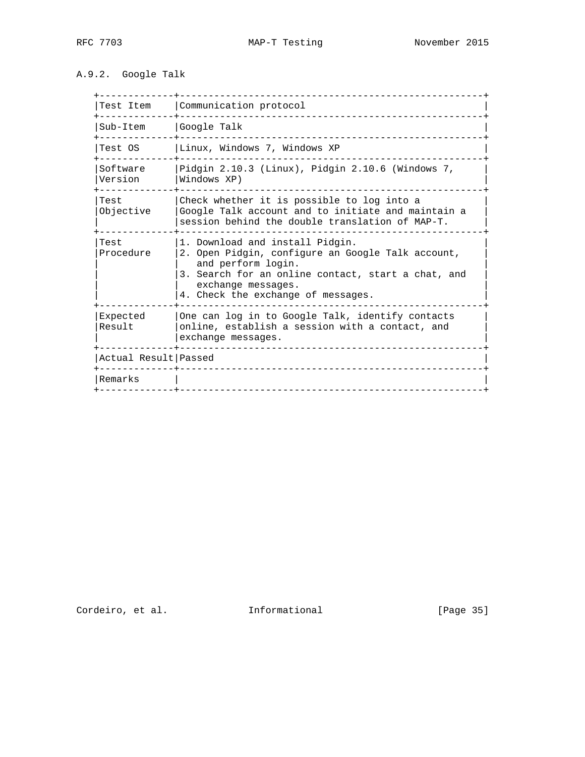## A.9.2. Google Talk

| Test Item            | Communication protocol                                                                                                                                                                                                       |
|----------------------|------------------------------------------------------------------------------------------------------------------------------------------------------------------------------------------------------------------------------|
| Sub-Item             | Google Talk                                                                                                                                                                                                                  |
| Test OS              | Linux, Windows 7, Windows XP                                                                                                                                                                                                 |
| Software<br>Version  | Pidgin $2.10.3$ (Linux), Pidgin $2.10.6$ (Windows 7,<br>Windows XP)                                                                                                                                                          |
| Test<br>Objective    | Check whether it is possible to log into a<br>Google Talk account and to initiate and maintain a<br>session behind the double translation of MAP-T.                                                                          |
| Test<br>Procedure    | 1. Download and install Pidgin.<br>2. Open Pidgin, configure an Google Talk account,<br>and perform login.<br>3. Search for an online contact, start a chat, and<br>exchange messages.<br>4. Check the exchange of messages. |
| Expected<br>Result   | One can log in to Google Talk, identify contacts<br>online, establish a session with a contact, and<br>exchange messages.                                                                                                    |
| Actual Result Passed |                                                                                                                                                                                                                              |
| Remarks              |                                                                                                                                                                                                                              |
|                      |                                                                                                                                                                                                                              |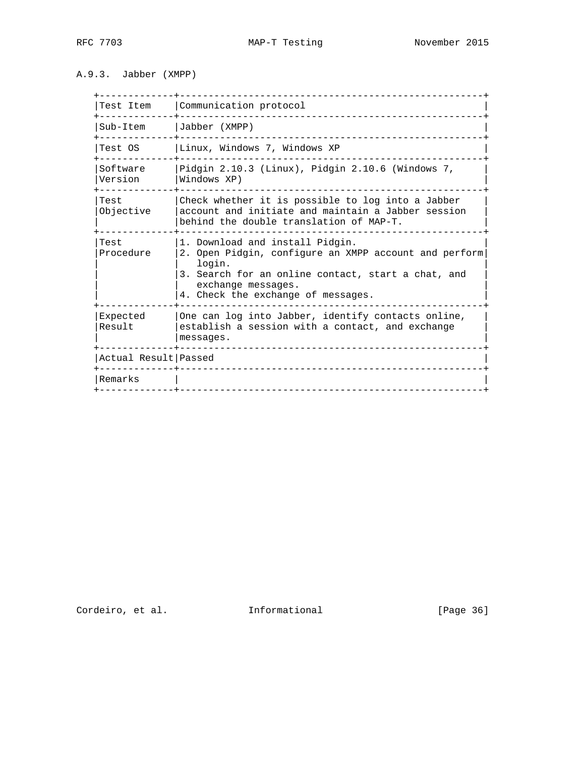### A.9.3. Jabber (XMPP)

| Test Item            | Communication protocol                                                                                                                                                                                               |
|----------------------|----------------------------------------------------------------------------------------------------------------------------------------------------------------------------------------------------------------------|
| Sub-Item             | Jabber (XMPP)                                                                                                                                                                                                        |
| Test OS              | Linux, Windows 7, Windows XP                                                                                                                                                                                         |
| Software<br>Version  | Pidgin $2.10.3$ (Linux), Pidgin $2.10.6$ (Windows 7,<br>Windows XP)                                                                                                                                                  |
| Test<br>Objective    | Check whether it is possible to log into a Jabber<br>account and initiate and maintain a Jabber session<br>behind the double translation of MAP-T.                                                                   |
| Test<br>Procedure    | 1. Download and install Pidgin.<br>2. Open Pidgin, configure an XMPP account and perform<br>login.<br>3. Search for an online contact, start a chat, and<br>exchange messages.<br>4. Check the exchange of messages. |
| Expected<br>Result   | One can log into Jabber, identify contacts online,<br>establish a session with a contact, and exchange<br>messages.                                                                                                  |
| Actual Result Passed |                                                                                                                                                                                                                      |
| Remarks              |                                                                                                                                                                                                                      |
|                      |                                                                                                                                                                                                                      |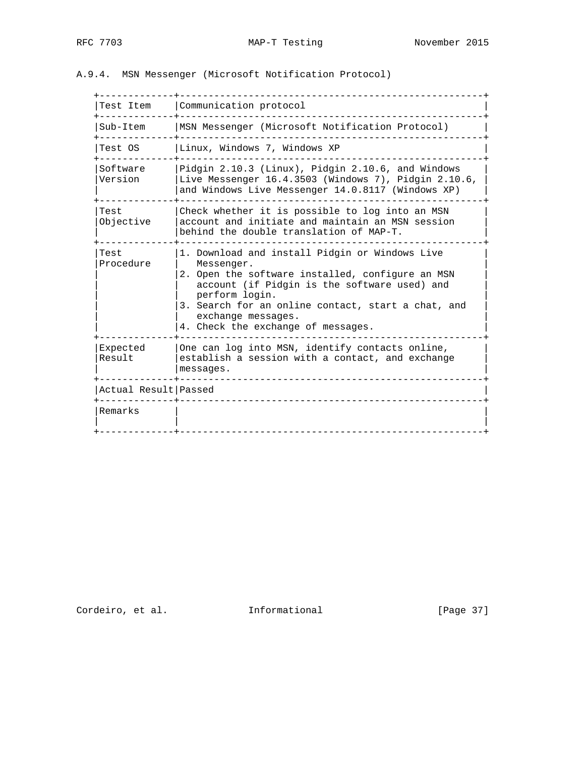## A.9.4. MSN Messenger (Microsoft Notification Protocol)

| Test Item            | Communication protocol                                                                                                                                                                                                                                                                               |
|----------------------|------------------------------------------------------------------------------------------------------------------------------------------------------------------------------------------------------------------------------------------------------------------------------------------------------|
| Sub-Item             | MSN Messenger (Microsoft Notification Protocol)                                                                                                                                                                                                                                                      |
| Test OS              | Linux, Windows 7, Windows XP                                                                                                                                                                                                                                                                         |
| Software<br>Version  | Pidgin 2.10.3 (Linux), Pidgin 2.10.6, and Windows<br>Live Messenger $16.4.3503$ (Windows 7), Pidgin $2.10.6$ ,<br>and Windows Live Messenger 14.0.8117 (Windows XP)                                                                                                                                  |
| Test<br>Objective    | Check whether it is possible to log into an MSN<br>account and initiate and maintain an MSN session<br>behind the double translation of MAP-T.                                                                                                                                                       |
| Test<br>Procedure    | 1. Download and install Pidgin or Windows Live<br>Messenger.<br>2. Open the software installed, configure an MSN<br>account (if Pidgin is the software used) and<br>perform login.<br>3. Search for an online contact, start a chat, and<br>exchange messages.<br>4. Check the exchange of messages. |
| Expected<br>Result   | One can log into MSN, identify contacts online,<br>establish a session with a contact, and exchange<br>messages.                                                                                                                                                                                     |
| Actual Result Passed |                                                                                                                                                                                                                                                                                                      |
|                      |                                                                                                                                                                                                                                                                                                      |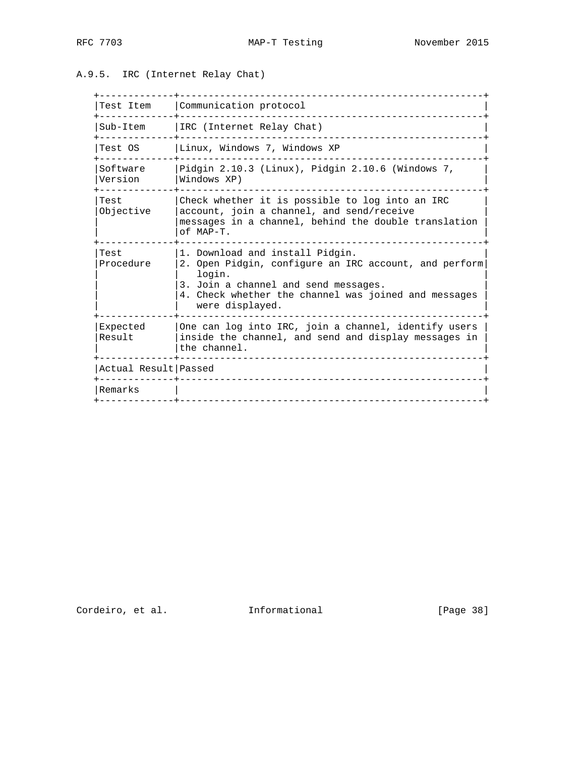## A.9.5. IRC (Internet Relay Chat)

| Test Item            | Communication protocol                                                                                                                                                                                                |
|----------------------|-----------------------------------------------------------------------------------------------------------------------------------------------------------------------------------------------------------------------|
| Sub-Item             | IRC (Internet Relay Chat)                                                                                                                                                                                             |
| Test OS              | Linux, Windows 7, Windows XP                                                                                                                                                                                          |
| Software<br>Version  | Pidgin 2.10.3 (Linux), Pidgin 2.10.6 (Windows 7,<br>Windows XP)                                                                                                                                                       |
| Test<br>Objective    | Check whether it is possible to log into an IRC<br>account, join a channel, and send/receive<br>messages in a channel, behind the double translation<br>of MAP-T.                                                     |
| Test<br>Procedure    | 1. Download and install Pidgin.<br>2. Open Pidgin, configure an IRC account, and perform<br>login.<br>3. Join a channel and send messages.<br>4. Check whether the channel was joined and messages<br>were displayed. |
| Expected<br>Result   | One can log into IRC, join a channel, identify users<br>inside the channel, and send and display messages in<br>the channel.                                                                                          |
| Actual Result Passed |                                                                                                                                                                                                                       |
| Remarks              |                                                                                                                                                                                                                       |
|                      |                                                                                                                                                                                                                       |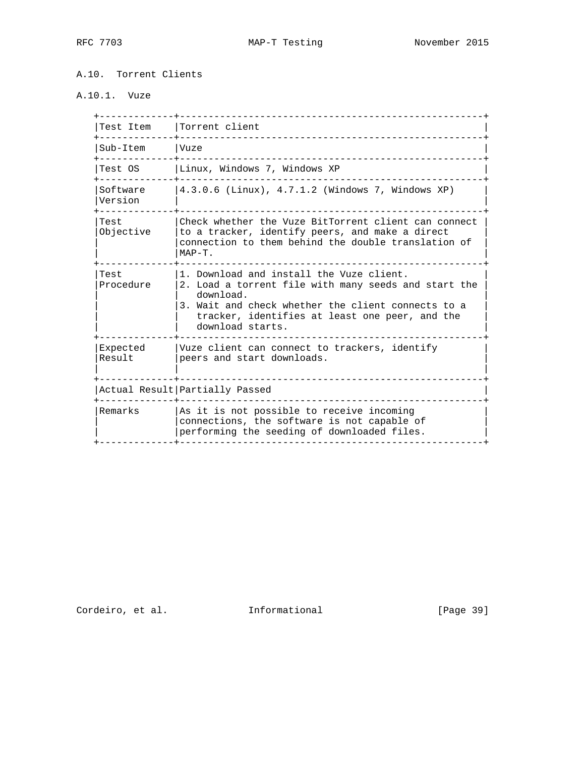A.10. Torrent Clients

A.10.1. Vuze

| Test Item           | Torrent client                                                                                                                                                                                                                            |
|---------------------|-------------------------------------------------------------------------------------------------------------------------------------------------------------------------------------------------------------------------------------------|
| Sub-Item            | Vuze                                                                                                                                                                                                                                      |
| Test OS             | Linux, Windows 7, Windows XP                                                                                                                                                                                                              |
| Software<br>Version | 4.3.0.6 (Linux), 4.7.1.2 (Windows 7, Windows XP)                                                                                                                                                                                          |
| Test<br>Objective   | Check whether the Vuze BitTorrent client can connect<br>to a tracker, identify peers, and make a direct<br>connection to them behind the double translation of<br>$MAP-T$ .                                                               |
| Test<br>Procedure   | 1. Download and install the Vuze client.<br>2. Load a torrent file with many seeds and start the<br>download.<br>3. Wait and check whether the client connects to a<br>tracker, identifies at least one peer, and the<br>download starts. |
| Expected<br>Result  | Vuze client can connect to trackers, identify<br>peers and start downloads.                                                                                                                                                               |
|                     | Actual Result Partially Passed                                                                                                                                                                                                            |
| Remarks             | As it is not possible to receive incoming<br>connections, the software is not capable of<br>performing the seeding of downloaded files.                                                                                                   |
|                     |                                                                                                                                                                                                                                           |

Cordeiro, et al. 1nformational [Page 39]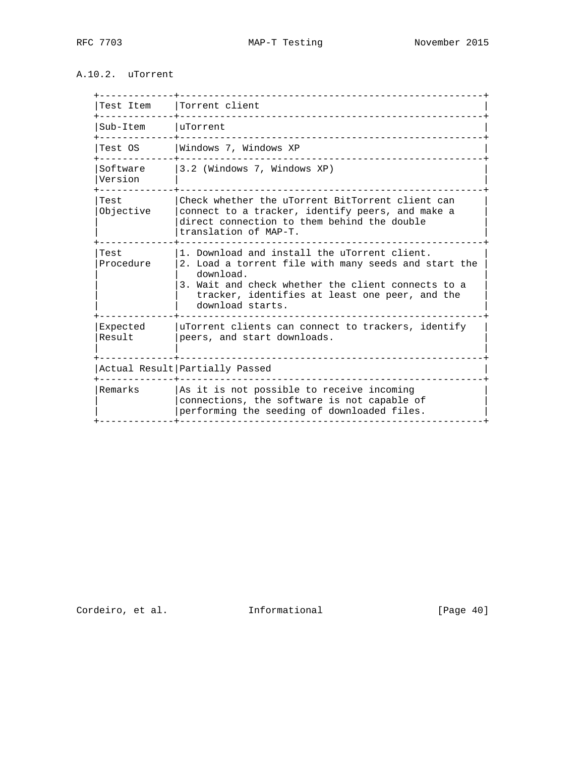## A.10.2. uTorrent

|                     | Test Item   Torrent client                                                                                                                                                                                                                    |
|---------------------|-----------------------------------------------------------------------------------------------------------------------------------------------------------------------------------------------------------------------------------------------|
| Sub-Item   uTorrent |                                                                                                                                                                                                                                               |
| Test OS             | Windows 7, Windows XP                                                                                                                                                                                                                         |
| Software<br>Version | 3.2 (Windows 7, Windows XP)                                                                                                                                                                                                                   |
| Test<br>Objective   | Check whether the uTorrent BitTorrent client can<br>connect to a tracker, identify peers, and make a<br>direct connection to them behind the double<br>translation of MAP-T.                                                                  |
| Test<br>Procedure   | 1. Download and install the uTorrent client.<br>2. Load a torrent file with many seeds and start the<br>download.<br>3. Wait and check whether the client connects to a<br>tracker, identifies at least one peer, and the<br>download starts. |
| Expected<br>Result  | uTorrent clients can connect to trackers, identify<br>peers, and start downloads.                                                                                                                                                             |
|                     | Actual Result Partially Passed                                                                                                                                                                                                                |
| Remarks             | As it is not possible to receive incoming<br>connections, the software is not capable of                                                                                                                                                      |

Cordeiro, et al. 1nformational [Page 40]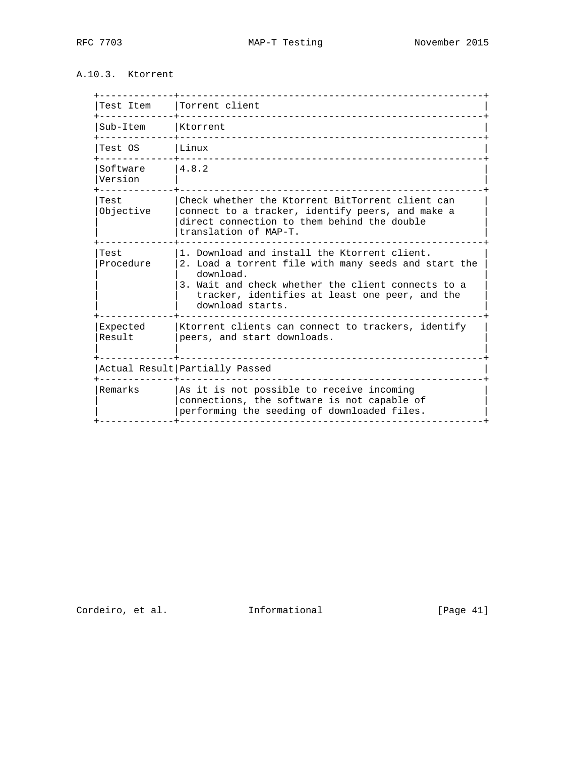## A.10.3. Ktorrent

| Test Item           | Torrent client                                                                                                                                                                                                                                |
|---------------------|-----------------------------------------------------------------------------------------------------------------------------------------------------------------------------------------------------------------------------------------------|
| Sub-Item            | Ktorrent                                                                                                                                                                                                                                      |
| Test OS             | Linux                                                                                                                                                                                                                                         |
| Software<br>Version | 14.8.2                                                                                                                                                                                                                                        |
| Test<br>Objective   | Check whether the Ktorrent BitTorrent client can<br>connect to a tracker, identify peers, and make a<br>direct connection to them behind the double<br>translation of MAP-T.                                                                  |
| Test<br>Procedure   | 1. Download and install the Ktorrent client.<br>2. Load a torrent file with many seeds and start the<br>download.<br>3. Wait and check whether the client connects to a<br>tracker, identifies at least one peer, and the<br>download starts. |
| Expected<br>Result  | Ktorrent clients can connect to trackers, identify<br>peers, and start downloads.                                                                                                                                                             |
|                     | Actual Result Partially Passed                                                                                                                                                                                                                |
| Remarks             | As it is not possible to receive incoming<br>connections, the software is not capable of<br>performing the seeding of downloaded files.                                                                                                       |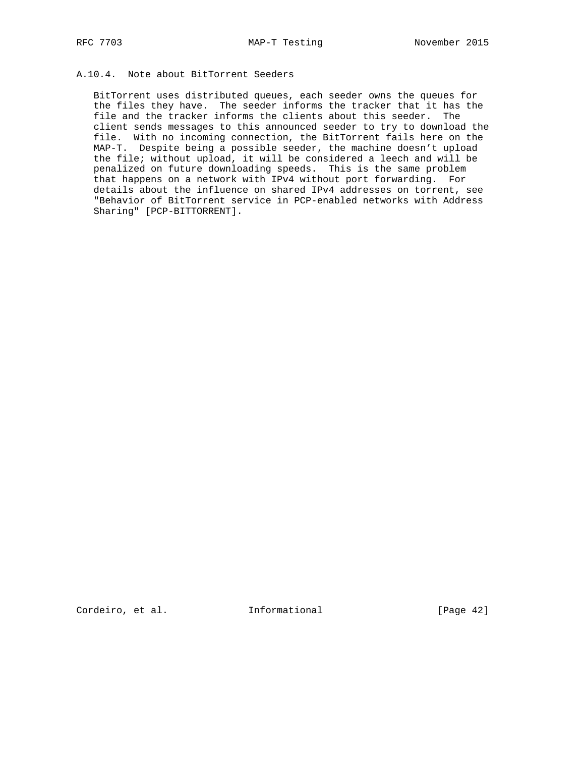### A.10.4. Note about BitTorrent Seeders

 BitTorrent uses distributed queues, each seeder owns the queues for the files they have. The seeder informs the tracker that it has the file and the tracker informs the clients about this seeder. The client sends messages to this announced seeder to try to download the file. With no incoming connection, the BitTorrent fails here on the MAP-T. Despite being a possible seeder, the machine doesn't upload the file; without upload, it will be considered a leech and will be penalized on future downloading speeds. This is the same problem that happens on a network with IPv4 without port forwarding. For details about the influence on shared IPv4 addresses on torrent, see "Behavior of BitTorrent service in PCP-enabled networks with Address Sharing" [PCP-BITTORRENT].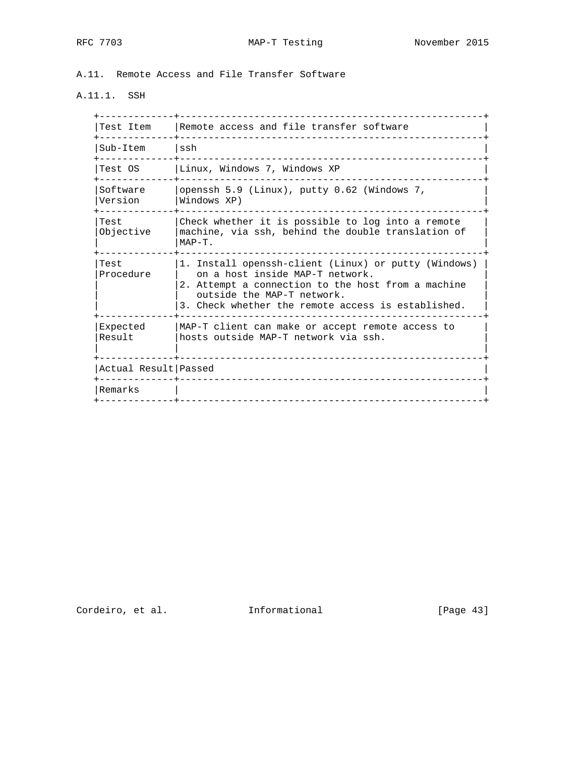A.11. Remote Access and File Transfer Software

# A.11.1. SSH

| Test Item            | Remote access and file transfer software                                                                                                                                                                                          |
|----------------------|-----------------------------------------------------------------------------------------------------------------------------------------------------------------------------------------------------------------------------------|
| Sub-Item             | ssh                                                                                                                                                                                                                               |
| Test OS              | Linux, Windows 7, Windows XP                                                                                                                                                                                                      |
| Software<br>Version  | openssh 5.9 (Linux), putty 0.62 (Windows 7,<br>Windows XP)                                                                                                                                                                        |
| Test<br>Objective    | Check whether it is possible to log into a remote<br>machine, via ssh, behind the double translation of<br>$MAP-T$ .                                                                                                              |
| Test<br>Procedure    | 1. Install openssh-client (Linux) or putty (Windows)<br>on a host inside MAP-T network.<br>2. Attempt a connection to the host from a machine<br>outside the MAP-T network.<br>3. Check whether the remote access is established. |
| Expected<br>Result   | MAP-T client can make or accept remote access to<br>hosts outside MAP-T network via ssh.                                                                                                                                          |
| Actual Result Passed |                                                                                                                                                                                                                                   |
| Remarks              |                                                                                                                                                                                                                                   |
|                      |                                                                                                                                                                                                                                   |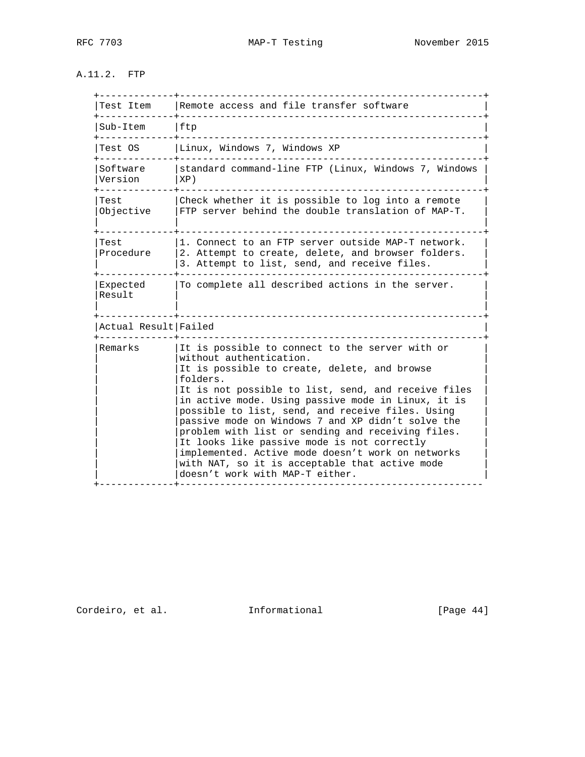A.11.2. FTP

| Test Item            | Remote access and file transfer software                                                                                                                                                                                                                                                                                                                                                                                                                                                                                                                                                                   |
|----------------------|------------------------------------------------------------------------------------------------------------------------------------------------------------------------------------------------------------------------------------------------------------------------------------------------------------------------------------------------------------------------------------------------------------------------------------------------------------------------------------------------------------------------------------------------------------------------------------------------------------|
| Sub-Item             | ftp                                                                                                                                                                                                                                                                                                                                                                                                                                                                                                                                                                                                        |
| Test OS              | Linux, Windows 7, Windows XP                                                                                                                                                                                                                                                                                                                                                                                                                                                                                                                                                                               |
| Software<br>Version  | standard command-line FTP (Linux, Windows 7, Windows<br>XP)                                                                                                                                                                                                                                                                                                                                                                                                                                                                                                                                                |
| Test<br>Objective    | Check whether it is possible to log into a remote<br>FTP server behind the double translation of MAP-T.                                                                                                                                                                                                                                                                                                                                                                                                                                                                                                    |
| Test<br>Procedure    | 1. Connect to an FTP server outside MAP-T network.<br>2. Attempt to create, delete, and browser folders.<br>3. Attempt to list, send, and receive files.                                                                                                                                                                                                                                                                                                                                                                                                                                                   |
| Expected<br>Result   | To complete all described actions in the server.                                                                                                                                                                                                                                                                                                                                                                                                                                                                                                                                                           |
| Actual Result Failed |                                                                                                                                                                                                                                                                                                                                                                                                                                                                                                                                                                                                            |
| Remarks              | It is possible to connect to the server with or<br>without authentication.<br>It is possible to create, delete, and browse<br>folders.<br>It is not possible to list, send, and receive files<br>in active mode. Using passive mode in Linux, it is<br>possible to list, send, and receive files. Using<br>passive mode on Windows 7 and XP didn't solve the<br>problem with list or sending and receiving files.<br>It looks like passive mode is not correctly<br>implemented. Active mode doesn't work on networks<br>with NAT, so it is acceptable that active mode<br>doesn't work with MAP-T either. |

Cordeiro, et al. 1nformational [Page 44]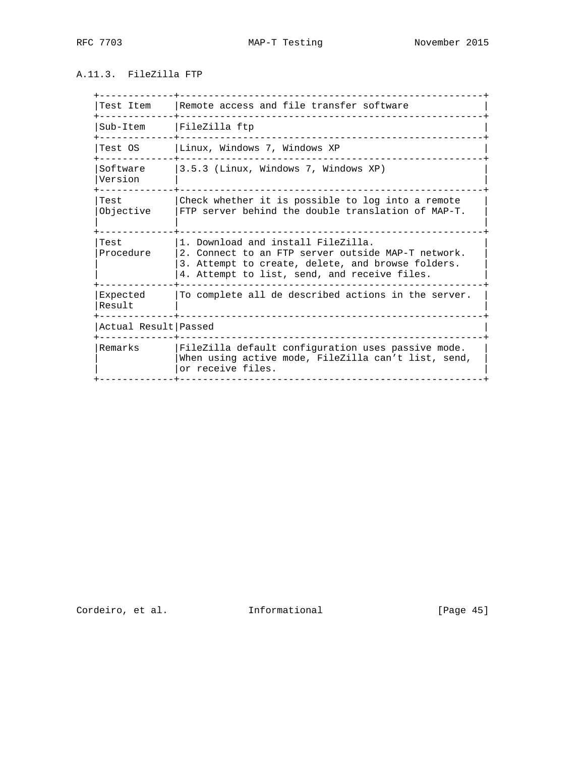### A.11.3. FileZilla FTP

| Test Item            | Remote access and file transfer software                                                                                                                                                      |
|----------------------|-----------------------------------------------------------------------------------------------------------------------------------------------------------------------------------------------|
| Sub-Item             | FileZilla ftp                                                                                                                                                                                 |
| Test OS              | Linux, Windows 7, Windows XP                                                                                                                                                                  |
| Software<br>Version  | 3.5.3 (Linux, Windows 7, Windows XP)                                                                                                                                                          |
| Test<br>Objective    | Check whether it is possible to log into a remote<br>FTP server behind the double translation of MAP-T.                                                                                       |
| Test<br>Procedure    | 1. Download and install FileZilla.<br>2. Connect to an FTP server outside MAP-T network.<br>3. Attempt to create, delete, and browse folders.<br>4. Attempt to list, send, and receive files. |
| Expected<br>Result   | To complete all de described actions in the server.                                                                                                                                           |
| Actual Result Passed |                                                                                                                                                                                               |
| Remarks              | FileZilla default configuration uses passive mode.<br>When using active mode, FileZilla can't list, send,<br>or receive files.                                                                |
|                      |                                                                                                                                                                                               |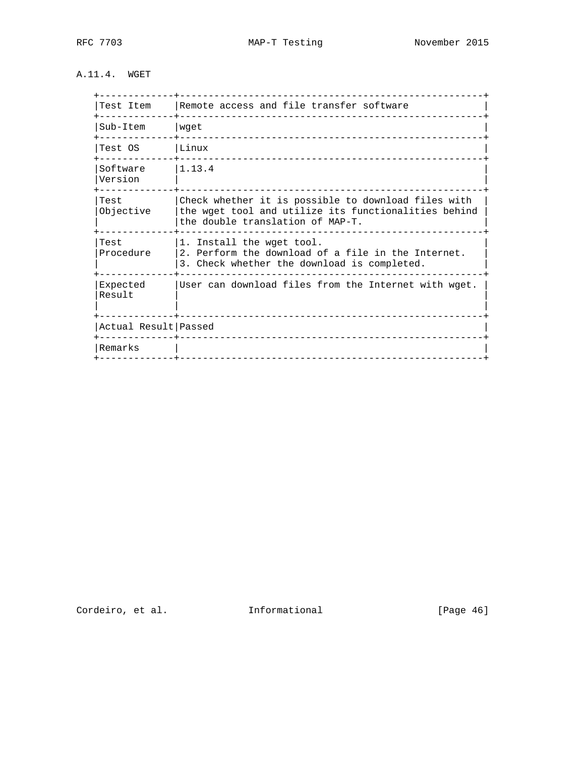## A.11.4. WGET

| Test Item            | Remote access and file transfer software                                                                                                        |
|----------------------|-------------------------------------------------------------------------------------------------------------------------------------------------|
| Sub-Item             | wget<br>-----------------------------                                                                                                           |
| Test OS              | Linux<br>_____________________                                                                                                                  |
| Software<br>Version  | 11.13.4                                                                                                                                         |
| Test<br>Objective    | Check whether it is possible to download files with<br>the wget tool and utilize its functionalities behind<br>the double translation of MAP-T. |
| Test<br>Procedure    | 1. Install the wget tool.<br>2. Perform the download of a file in the Internet.<br>3. Check whether the download is completed.                  |
| Expected<br>Result   | User can download files from the Internet with wget.<br>_____________________________________                                                   |
| Actual Result Passed |                                                                                                                                                 |
| Remarks              |                                                                                                                                                 |
|                      |                                                                                                                                                 |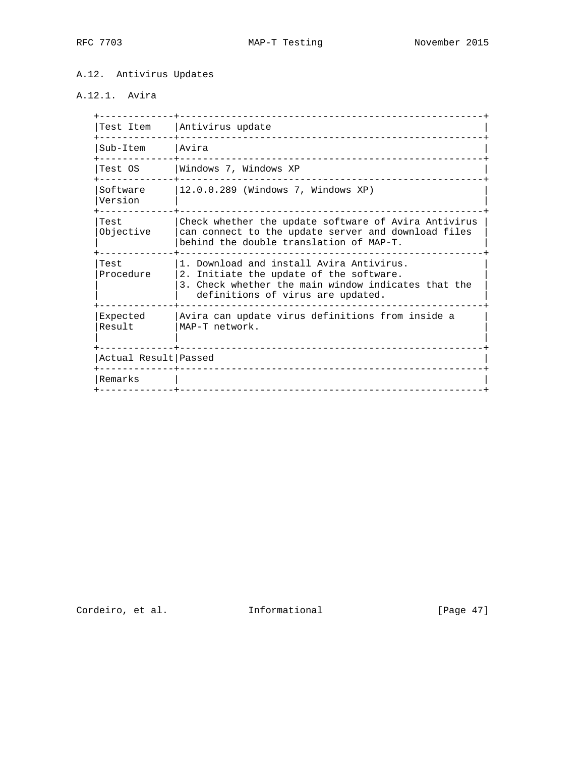### A.12. Antivirus Updates

# A.12.1. Avira

| Test Item            | Antivirus update                                                                                                                                                                |
|----------------------|---------------------------------------------------------------------------------------------------------------------------------------------------------------------------------|
| Sub-Item             | lAvira<br>____________________________                                                                                                                                          |
| Test OS              | Windows 7, Windows XP                                                                                                                                                           |
| Software<br>Version  | 12.0.0.289 (Windows 7, Windows XP)                                                                                                                                              |
| Test<br>Objective    | Check whether the update software of Avira Antivirus<br>can connect to the update server and download files<br>behind the double translation of MAP-T.                          |
| Test<br>Procedure    | 1. Download and install Avira Antivirus.<br>2. Initiate the update of the software.<br>3. Check whether the main window indicates that the<br>definitions of virus are updated. |
| Expected<br>Result   | Avira can update virus definitions from inside a<br>MAP-T network.                                                                                                              |
| Actual Result Passed | _____________________________________                                                                                                                                           |
| Remarks              | ------------------------------                                                                                                                                                  |
|                      |                                                                                                                                                                                 |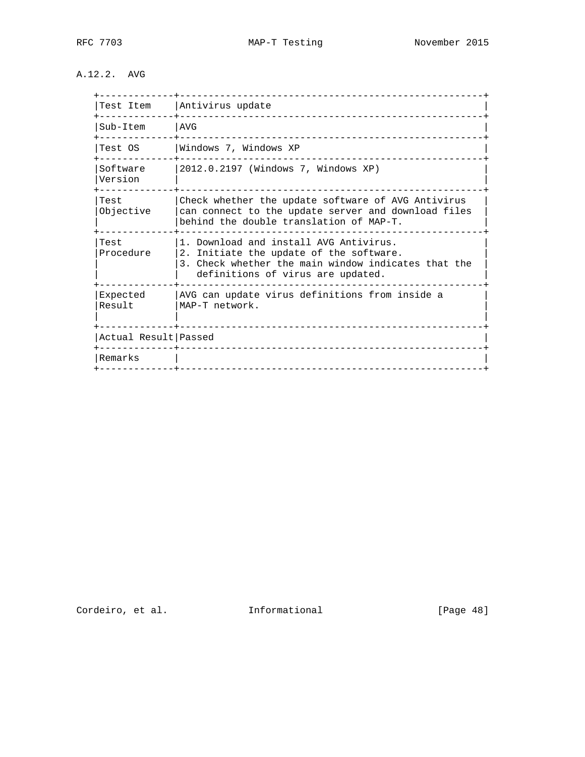## A.12.2. AVG

| Test Item            | Antivirus update                                                                                                                                                              |
|----------------------|-------------------------------------------------------------------------------------------------------------------------------------------------------------------------------|
| Sub-Item             | AVG                                                                                                                                                                           |
| Test OS              | Windows 7, Windows XP                                                                                                                                                         |
| Software<br>Version  | 2012.0.2197 (Windows 7, Windows XP)                                                                                                                                           |
| Test<br>Objective    | Check whether the update software of AVG Antivirus<br>can connect to the update server and download files<br>behind the double translation of MAP-T.                          |
| Test<br>Procedure    | 1. Download and install AVG Antivirus.<br>2. Initiate the update of the software.<br>3. Check whether the main window indicates that the<br>definitions of virus are updated. |
| Expected<br>Result   | AVG can update virus definitions from inside a<br>MAP-T network.                                                                                                              |
| Actual Result Passed | ____________________________________                                                                                                                                          |
| Remarks              | __________________________________<br>------------------------------                                                                                                          |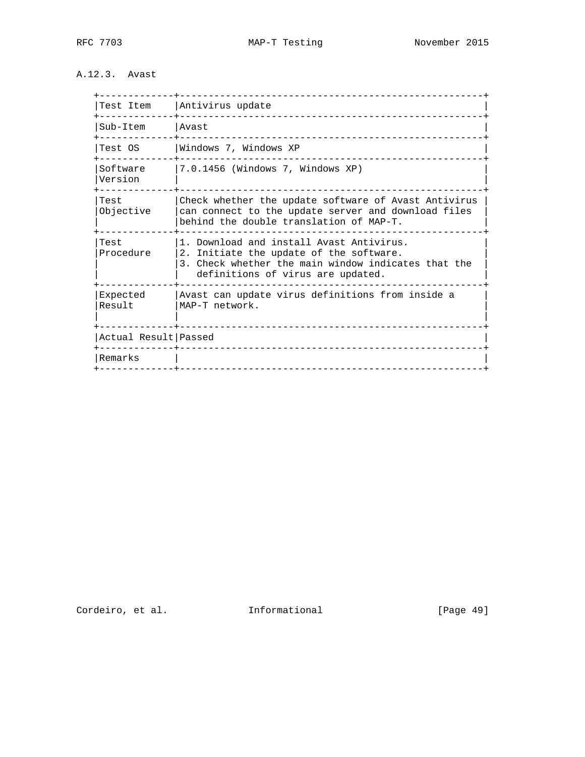## A.12.3. Avast

| Test Item            | Antivirus update                                                                                                                                                                |
|----------------------|---------------------------------------------------------------------------------------------------------------------------------------------------------------------------------|
| Sub-Item             | lAvast<br>____________________________                                                                                                                                          |
| Test OS<br>--------  | Windows 7, Windows XP                                                                                                                                                           |
| Software<br>Version  | 7.0.1456 (Windows 7, Windows XP)                                                                                                                                                |
| Test<br>Objective    | Check whether the update software of Avast Antivirus<br>can connect to the update server and download files<br>behind the double translation of MAP-T.                          |
| Test<br>Procedure    | 1. Download and install Avast Antivirus.<br>2. Initiate the update of the software.<br>3. Check whether the main window indicates that the<br>definitions of virus are updated. |
| Expected<br>Result   | Avast can update virus definitions from inside a<br>MAP-T network.                                                                                                              |
| Actual Result Passed |                                                                                                                                                                                 |
| Remarks              |                                                                                                                                                                                 |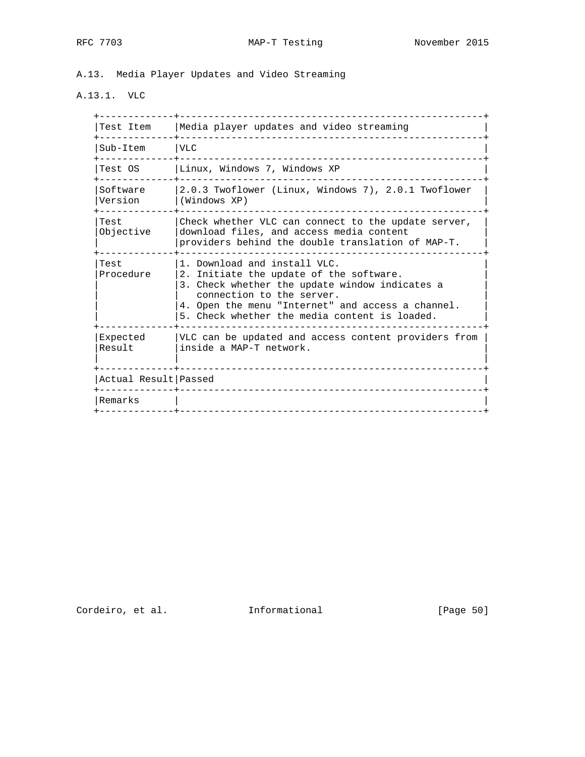A.13. Media Player Updates and Video Streaming

# A.13.1. VLC

| Test Item            | Media player updates and video streaming                                                                                                                                                                                                                     |
|----------------------|--------------------------------------------------------------------------------------------------------------------------------------------------------------------------------------------------------------------------------------------------------------|
| Sub-Item             | VLC                                                                                                                                                                                                                                                          |
| Test OS              | Linux, Windows 7, Windows XP                                                                                                                                                                                                                                 |
| Software<br>Version  | 2.0.3 Twoflower (Linux, Windows 7), 2.0.1 Twoflower<br>(Windows XP)                                                                                                                                                                                          |
| Test<br>Objective    | Check whether VLC can connect to the update server,<br>download files, and access media content<br>providers behind the double translation of MAP-T.                                                                                                         |
| Test<br>Procedure    | 1. Download and install VLC.<br>2. Initiate the update of the software.<br>3. Check whether the update window indicates a<br>connection to the server.<br>4. Open the menu "Internet" and access a channel.<br>5. Check whether the media content is loaded. |
| Expected<br>Result   | VLC can be updated and access content providers from<br>inside a MAP-T network.                                                                                                                                                                              |
| Actual Result Passed | _____________________________________                                                                                                                                                                                                                        |
| Remarks              |                                                                                                                                                                                                                                                              |
|                      |                                                                                                                                                                                                                                                              |

Cordeiro, et al. 1nformational [Page 50]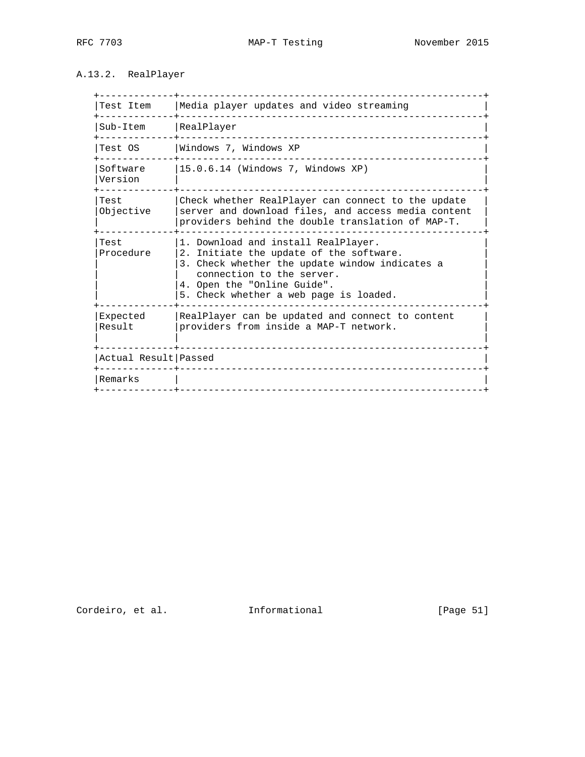# A.13.2. RealPlayer

| Test Item            | Media player updates and video streaming                                                                                                                                                                                               |
|----------------------|----------------------------------------------------------------------------------------------------------------------------------------------------------------------------------------------------------------------------------------|
| Sub-Item             | RealPlayer                                                                                                                                                                                                                             |
| Test OS              | Windows 7, Windows XP                                                                                                                                                                                                                  |
| Software<br>Version  | 15.0.6.14 (Windows 7, Windows XP)                                                                                                                                                                                                      |
| Test<br>Objective    | Check whether RealPlayer can connect to the update<br>server and download files, and access media content<br>providers behind the double translation of MAP-T.                                                                         |
| Test<br>Procedure    | 1. Download and install RealPlayer.<br>2. Initiate the update of the software.<br>3. Check whether the update window indicates a<br>connection to the server.<br>4. Open the "Online Guide".<br>5. Check whether a web page is loaded. |
| Expected<br>Result   | RealPlayer can be updated and connect to content<br>providers from inside a MAP-T network.                                                                                                                                             |
| Actual Result Passed |                                                                                                                                                                                                                                        |
| Remarks              |                                                                                                                                                                                                                                        |
|                      |                                                                                                                                                                                                                                        |

Cordeiro, et al. 1nformational [Page 51]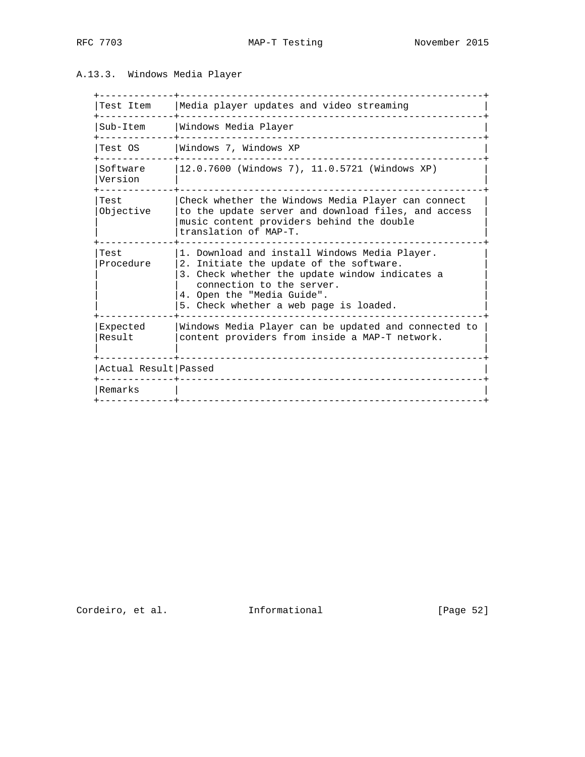### A.13.3. Windows Media Player

| Test Item            | Media player updates and video streaming                                                                                                                                                                                                        |
|----------------------|-------------------------------------------------------------------------------------------------------------------------------------------------------------------------------------------------------------------------------------------------|
| Sub-Item             | Windows Media Player                                                                                                                                                                                                                            |
| Test OS              | Windows 7, Windows XP                                                                                                                                                                                                                           |
| Software<br>Version  | 12.0.7600 (Windows 7), 11.0.5721 (Windows XP)                                                                                                                                                                                                   |
| Test<br>Objective    | Check whether the Windows Media Player can connect<br>to the update server and download files, and access<br>music content providers behind the double<br>translation of MAP-T.                                                                 |
| Test<br>Procedure    | 1. Download and install Windows Media Player.<br>2. Initiate the update of the software.<br>3. Check whether the update window indicates a<br>connection to the server.<br>4. Open the "Media Guide".<br>5. Check whether a web page is loaded. |
| Expected<br>Result   | Windows Media Player can be updated and connected to<br>content providers from inside a MAP-T network.                                                                                                                                          |
| Actual Result Passed |                                                                                                                                                                                                                                                 |
| Remarks              |                                                                                                                                                                                                                                                 |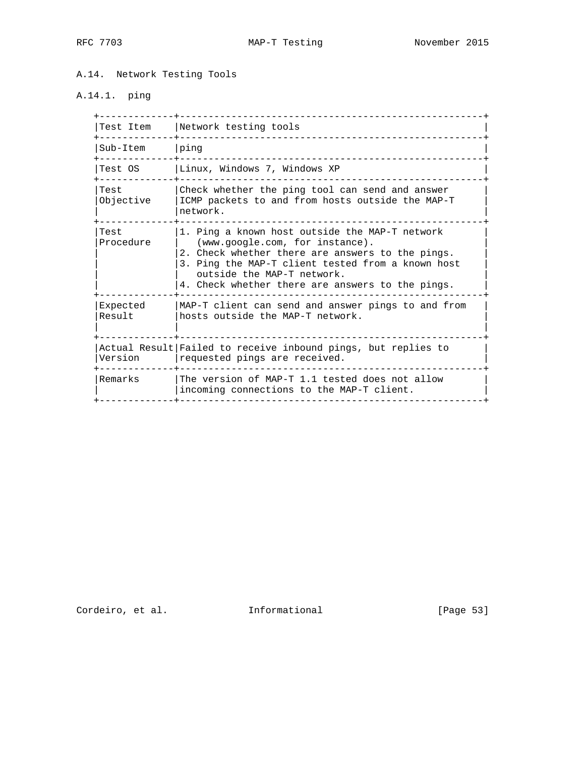A.14. Network Testing Tools

# A.14.1. ping

| Test Item          | Network testing tools                                                                                                                                                                                                                                                        |
|--------------------|------------------------------------------------------------------------------------------------------------------------------------------------------------------------------------------------------------------------------------------------------------------------------|
| Sub-Item           | ping                                                                                                                                                                                                                                                                         |
| Test OS            | Linux, Windows 7, Windows XP                                                                                                                                                                                                                                                 |
| Test<br>Objective  | Check whether the ping tool can send and answer<br>ICMP packets to and from hosts outside the MAP-T<br>network.                                                                                                                                                              |
| Test<br>Procedure  | 1. Ping a known host outside the MAP-T network<br>(www.google.com, for instance).<br>2. Check whether there are answers to the pings.<br>3. Ping the MAP-T client tested from a known host<br>outside the MAP-T network.<br>4. Check whether there are answers to the pings. |
| Expected<br>Result | MAP-T client can send and answer pings to and from<br>hosts outside the MAP-T network.                                                                                                                                                                                       |
| Version            | Actual Result Failed to receive inbound pings, but replies to<br>requested pings are received.                                                                                                                                                                               |
| Remarks            | The version of MAP-T 1.1 tested does not allow<br>incoming connections to the MAP-T client.                                                                                                                                                                                  |
|                    |                                                                                                                                                                                                                                                                              |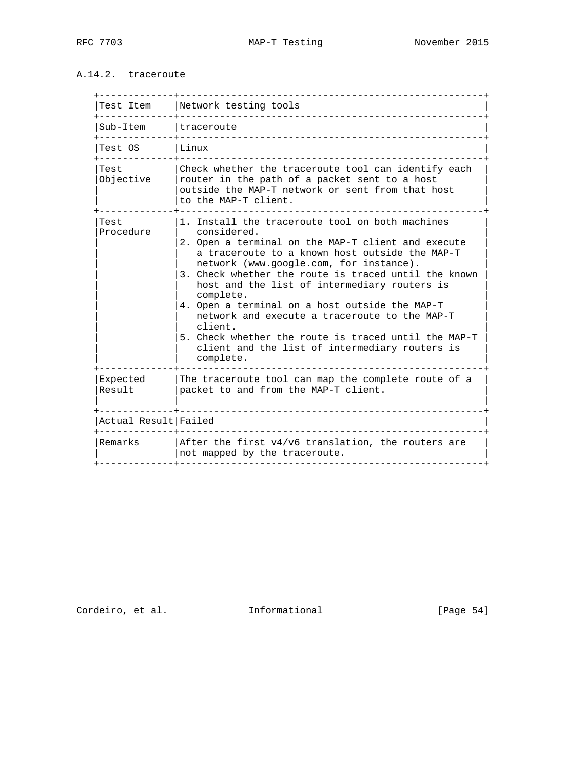## A.14.2. traceroute

|                      | Test Item   Network testing tools                                                                                                                                                                                                                                                                                                                                                                                                                                                                                                                                           |
|----------------------|-----------------------------------------------------------------------------------------------------------------------------------------------------------------------------------------------------------------------------------------------------------------------------------------------------------------------------------------------------------------------------------------------------------------------------------------------------------------------------------------------------------------------------------------------------------------------------|
| Sub-Item             | Itraceroute                                                                                                                                                                                                                                                                                                                                                                                                                                                                                                                                                                 |
| Test OS              | Linux                                                                                                                                                                                                                                                                                                                                                                                                                                                                                                                                                                       |
| Test<br>Objective    | Check whether the traceroute tool can identify each<br>router in the path of a packet sent to a host<br>outside the MAP-T network or sent from that host<br>to the MAP-T client.                                                                                                                                                                                                                                                                                                                                                                                            |
| Test<br>Procedure    | 1. Install the traceroute tool on both machines<br>considered.<br>2. Open a terminal on the MAP-T client and execute<br>a traceroute to a known host outside the MAP-T<br>network (www.google.com, for instance).<br>3. Check whether the route is traced until the known<br>host and the list of intermediary routers is<br>complete.<br>4. Open a terminal on a host outside the MAP-T<br>network and execute a traceroute to the MAP-T<br>client.<br>5. Check whether the route is traced until the MAP-T<br>client and the list of intermediary routers is<br>complete. |
| Expected<br>Result   | The traceroute tool can map the complete route of a<br>packet to and from the MAP-T client.                                                                                                                                                                                                                                                                                                                                                                                                                                                                                 |
| Actual Result Failed |                                                                                                                                                                                                                                                                                                                                                                                                                                                                                                                                                                             |
| Remarks              | After the first $v4/v6$ translation, the routers are<br>not mapped by the traceroute.                                                                                                                                                                                                                                                                                                                                                                                                                                                                                       |

Cordeiro, et al. 1nformational [Page 54]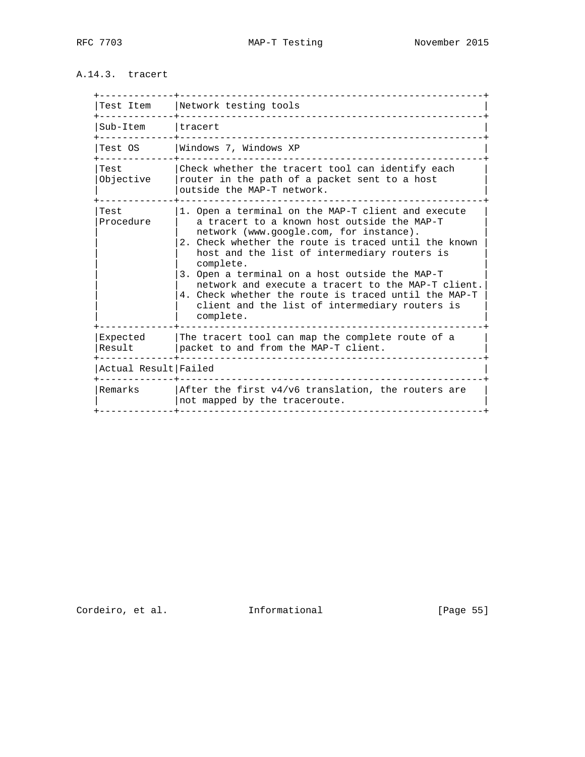## A.14.3. tracert

| Test Item            | Network testing tools                                                                                                                                                                                                                                                                                                                                                                                                                                                                            |
|----------------------|--------------------------------------------------------------------------------------------------------------------------------------------------------------------------------------------------------------------------------------------------------------------------------------------------------------------------------------------------------------------------------------------------------------------------------------------------------------------------------------------------|
| Sub-Item             | tracert                                                                                                                                                                                                                                                                                                                                                                                                                                                                                          |
| Test OS              | Windows 7, Windows XP                                                                                                                                                                                                                                                                                                                                                                                                                                                                            |
| Test<br>Objective    | Check whether the tracert tool can identify each<br>router in the path of a packet sent to a host<br>outside the MAP-T network.                                                                                                                                                                                                                                                                                                                                                                  |
| Test<br>Procedure    | 1. Open a terminal on the MAP-T client and execute<br>a tracert to a known host outside the MAP-T<br>network (www.google.com, for instance).<br>2. Check whether the route is traced until the known<br>host and the list of intermediary routers is<br>complete.<br>3. Open a terminal on a host outside the MAP-T<br>network and execute a tracert to the MAP-T client.<br>4. Check whether the route is traced until the MAP-T<br>client and the list of intermediary routers is<br>complete. |
| Expected<br>Result   | The tracert tool can map the complete route of a<br>packet to and from the MAP-T client.                                                                                                                                                                                                                                                                                                                                                                                                         |
| Actual Result Failed |                                                                                                                                                                                                                                                                                                                                                                                                                                                                                                  |
| Remarks              | $ $ After the first $v4/v6$ translation, the routers are<br>not mapped by the traceroute.                                                                                                                                                                                                                                                                                                                                                                                                        |
|                      |                                                                                                                                                                                                                                                                                                                                                                                                                                                                                                  |